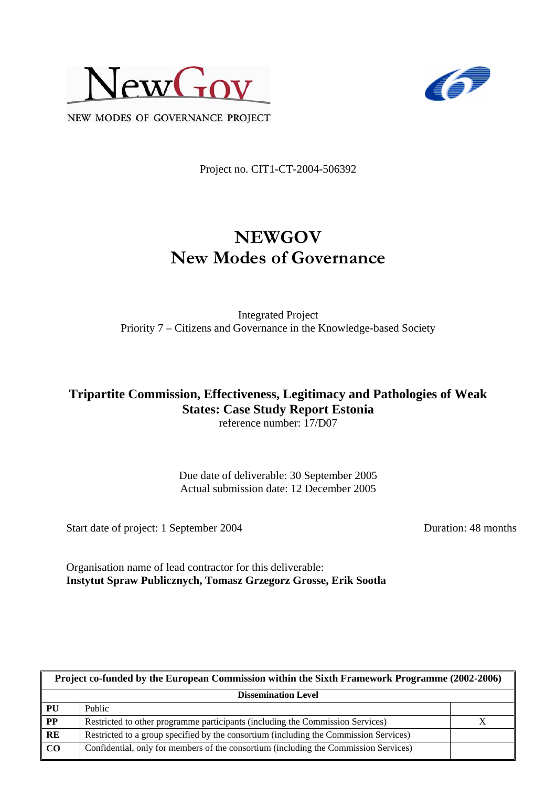



NEW MODES OF GOVERNANCE PROJECT

Project no. CIT1-CT-2004-506392

# **NEWGOV New Modes of Governance**

Integrated Project Priority 7 – Citizens and Governance in the Knowledge-based Society

#### **Tripartite Commission, Effectiveness, Legitimacy and Pathologies of Weak States: Case Study Report Estonia**  reference number: 17/D07

Due date of deliverable: 30 September 2005 Actual submission date: 12 December 2005

Start date of project: 1 September 2004 Duration: 48 months

Organisation name of lead contractor for this deliverable: **Instytut Spraw Publicznych, Tomasz Grzegorz Grosse, Erik Sootla** 

| Project co-funded by the European Commission within the Sixth Framework Programme (2002-2006) |                                                                                       |  |  |
|-----------------------------------------------------------------------------------------------|---------------------------------------------------------------------------------------|--|--|
| <b>Dissemination Level</b>                                                                    |                                                                                       |  |  |
| PU                                                                                            | Public                                                                                |  |  |
| $\bf PP$                                                                                      | Restricted to other programme participants (including the Commission Services)        |  |  |
| RE                                                                                            | Restricted to a group specified by the consortium (including the Commission Services) |  |  |
| CO                                                                                            | Confidential, only for members of the consortium (including the Commission Services)  |  |  |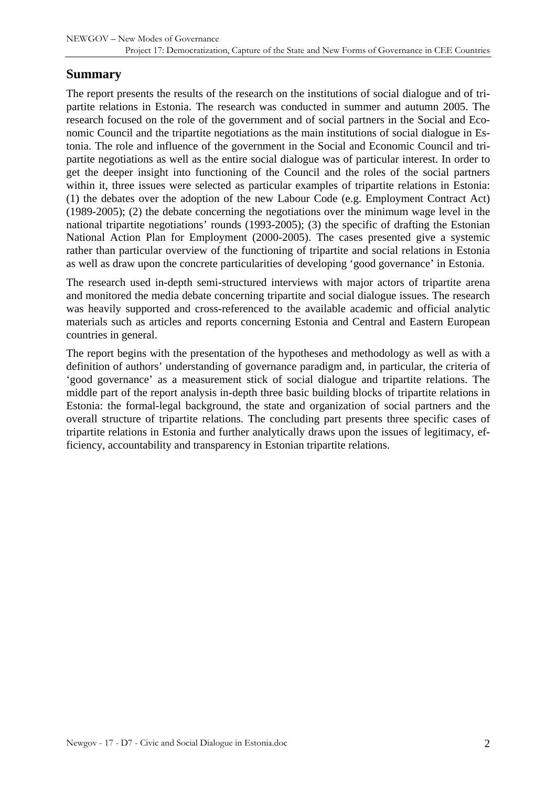### **Summary**

The report presents the results of the research on the institutions of social dialogue and of tripartite relations in Estonia. The research was conducted in summer and autumn 2005. The research focused on the role of the government and of social partners in the Social and Economic Council and the tripartite negotiations as the main institutions of social dialogue in Estonia. The role and influence of the government in the Social and Economic Council and tripartite negotiations as well as the entire social dialogue was of particular interest. In order to get the deeper insight into functioning of the Council and the roles of the social partners within it, three issues were selected as particular examples of tripartite relations in Estonia: (1) the debates over the adoption of the new Labour Code (e.g. Employment Contract Act) (1989-2005); (2) the debate concerning the negotiations over the minimum wage level in the national tripartite negotiations' rounds (1993-2005); (3) the specific of drafting the Estonian National Action Plan for Employment (2000-2005). The cases presented give a systemic rather than particular overview of the functioning of tripartite and social relations in Estonia as well as draw upon the concrete particularities of developing 'good governance' in Estonia.

The research used in-depth semi-structured interviews with major actors of tripartite arena and monitored the media debate concerning tripartite and social dialogue issues. The research was heavily supported and cross-referenced to the available academic and official analytic materials such as articles and reports concerning Estonia and Central and Eastern European countries in general.

The report begins with the presentation of the hypotheses and methodology as well as with a definition of authors' understanding of governance paradigm and, in particular, the criteria of 'good governance' as a measurement stick of social dialogue and tripartite relations. The middle part of the report analysis in-depth three basic building blocks of tripartite relations in Estonia: the formal-legal background, the state and organization of social partners and the overall structure of tripartite relations. The concluding part presents three specific cases of tripartite relations in Estonia and further analytically draws upon the issues of legitimacy, efficiency, accountability and transparency in Estonian tripartite relations.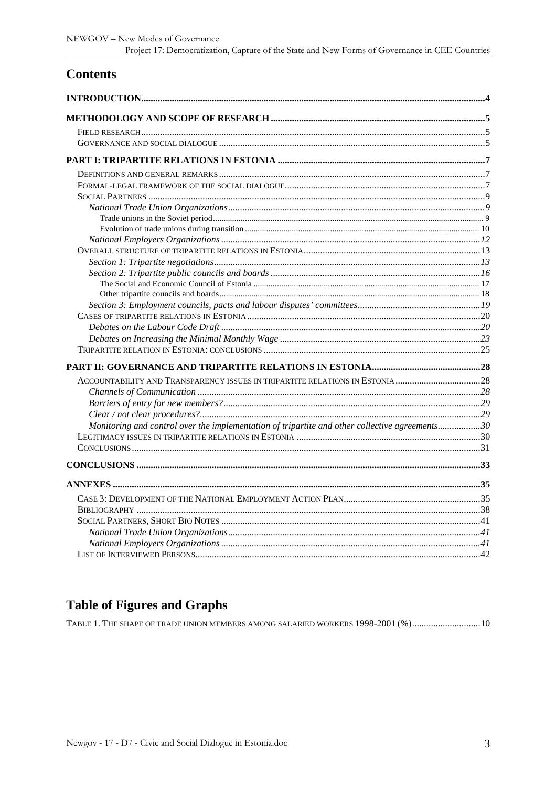## **Contents**

| ACCOUNTABILITY AND TRANSPARENCY ISSUES IN TRIPARTITE RELATIONS IN ESTONIA 28                   |  |
|------------------------------------------------------------------------------------------------|--|
|                                                                                                |  |
|                                                                                                |  |
|                                                                                                |  |
| Monitoring and control over the implementation of tripartite and other collective agreements30 |  |
|                                                                                                |  |
|                                                                                                |  |
|                                                                                                |  |
|                                                                                                |  |
|                                                                                                |  |
|                                                                                                |  |
|                                                                                                |  |
|                                                                                                |  |
|                                                                                                |  |
|                                                                                                |  |
|                                                                                                |  |

## **Table of Figures and Graphs**

TABLE 1. THE SHAPE OF TRADE UNION MEMBERS AMONG SALARIED WORKERS 1998-2001 (%)...............................10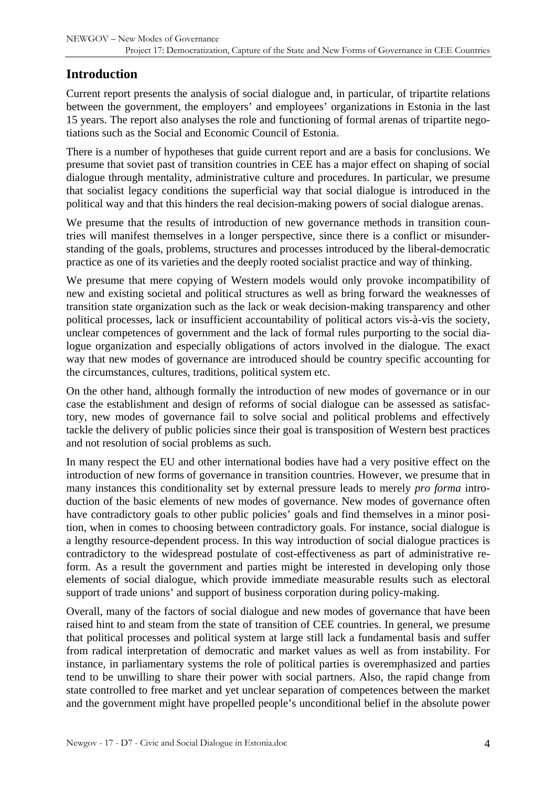## <span id="page-3-0"></span>**Introduction**

Current report presents the analysis of social dialogue and, in particular, of tripartite relations between the government, the employers' and employees' organizations in Estonia in the last 15 years. The report also analyses the role and functioning of formal arenas of tripartite negotiations such as the Social and Economic Council of Estonia.

There is a number of hypotheses that guide current report and are a basis for conclusions. We presume that soviet past of transition countries in CEE has a major effect on shaping of social dialogue through mentality, administrative culture and procedures. In particular, we presume that socialist legacy conditions the superficial way that social dialogue is introduced in the political way and that this hinders the real decision-making powers of social dialogue arenas.

We presume that the results of introduction of new governance methods in transition countries will manifest themselves in a longer perspective, since there is a conflict or misunderstanding of the goals, problems, structures and processes introduced by the liberal-democratic practice as one of its varieties and the deeply rooted socialist practice and way of thinking.

We presume that mere copying of Western models would only provoke incompatibility of new and existing societal and political structures as well as bring forward the weaknesses of transition state organization such as the lack or weak decision-making transparency and other political processes, lack or insufficient accountability of political actors vis-à-vis the society, unclear competences of government and the lack of formal rules purporting to the social dialogue organization and especially obligations of actors involved in the dialogue. The exact way that new modes of governance are introduced should be country specific accounting for the circumstances, cultures, traditions, political system etc.

On the other hand, although formally the introduction of new modes of governance or in our case the establishment and design of reforms of social dialogue can be assessed as satisfactory, new modes of governance fail to solve social and political problems and effectively tackle the delivery of public policies since their goal is transposition of Western best practices and not resolution of social problems as such.

In many respect the EU and other international bodies have had a very positive effect on the introduction of new forms of governance in transition countries. However, we presume that in many instances this conditionality set by external pressure leads to merely *pro forma* introduction of the basic elements of new modes of governance. New modes of governance often have contradictory goals to other public policies' goals and find themselves in a minor position, when in comes to choosing between contradictory goals. For instance, social dialogue is a lengthy resource-dependent process. In this way introduction of social dialogue practices is contradictory to the widespread postulate of cost-effectiveness as part of administrative reform. As a result the government and parties might be interested in developing only those elements of social dialogue, which provide immediate measurable results such as electoral support of trade unions' and support of business corporation during policy-making.

Overall, many of the factors of social dialogue and new modes of governance that have been raised hint to and steam from the state of transition of CEE countries. In general, we presume that political processes and political system at large still lack a fundamental basis and suffer from radical interpretation of democratic and market values as well as from instability. For instance, in parliamentary systems the role of political parties is overemphasized and parties tend to be unwilling to share their power with social partners. Also, the rapid change from state controlled to free market and yet unclear separation of competences between the market and the government might have propelled people's unconditional belief in the absolute power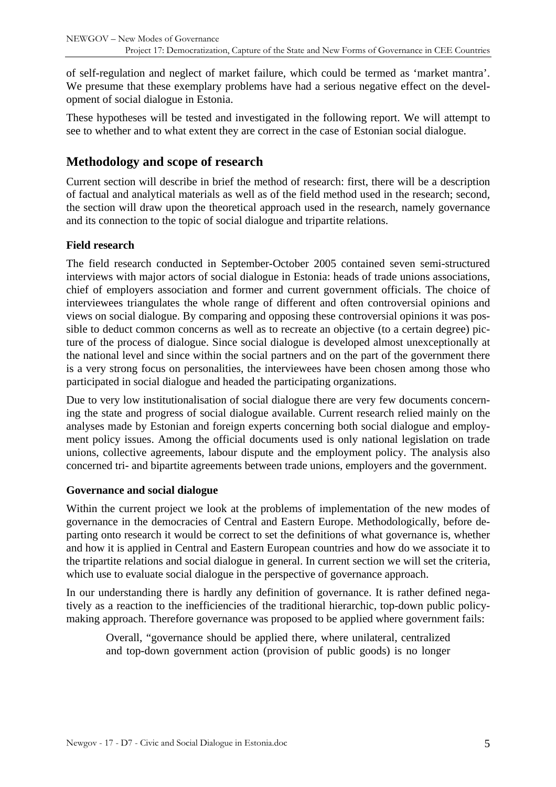<span id="page-4-0"></span>of self-regulation and neglect of market failure, which could be termed as 'market mantra'. We presume that these exemplary problems have had a serious negative effect on the development of social dialogue in Estonia.

These hypotheses will be tested and investigated in the following report. We will attempt to see to whether and to what extent they are correct in the case of Estonian social dialogue.

## **Methodology and scope of research**

Current section will describe in brief the method of research: first, there will be a description of factual and analytical materials as well as of the field method used in the research; second, the section will draw upon the theoretical approach used in the research, namely governance and its connection to the topic of social dialogue and tripartite relations.

#### **Field research**

The field research conducted in September-October 2005 contained seven semi-structured interviews with major actors of social dialogue in Estonia: heads of trade unions associations, chief of employers association and former and current government officials. The choice of interviewees triangulates the whole range of different and often controversial opinions and views on social dialogue. By comparing and opposing these controversial opinions it was possible to deduct common concerns as well as to recreate an objective (to a certain degree) picture of the process of dialogue. Since social dialogue is developed almost unexceptionally at the national level and since within the social partners and on the part of the government there is a very strong focus on personalities, the interviewees have been chosen among those who participated in social dialogue and headed the participating organizations.

Due to very low institutionalisation of social dialogue there are very few documents concerning the state and progress of social dialogue available. Current research relied mainly on the analyses made by Estonian and foreign experts concerning both social dialogue and employment policy issues. Among the official documents used is only national legislation on trade unions, collective agreements, labour dispute and the employment policy. The analysis also concerned tri- and bipartite agreements between trade unions, employers and the government.

#### **Governance and social dialogue**

Within the current project we look at the problems of implementation of the new modes of governance in the democracies of Central and Eastern Europe. Methodologically, before departing onto research it would be correct to set the definitions of what governance is, whether and how it is applied in Central and Eastern European countries and how do we associate it to the tripartite relations and social dialogue in general. In current section we will set the criteria, which use to evaluate social dialogue in the perspective of governance approach.

In our understanding there is hardly any definition of governance. It is rather defined negatively as a reaction to the inefficiencies of the traditional hierarchic, top-down public policymaking approach. Therefore governance was proposed to be applied where government fails:

Overall, "governance should be applied there, where unilateral, centralized and top-down government action (provision of public goods) is no longer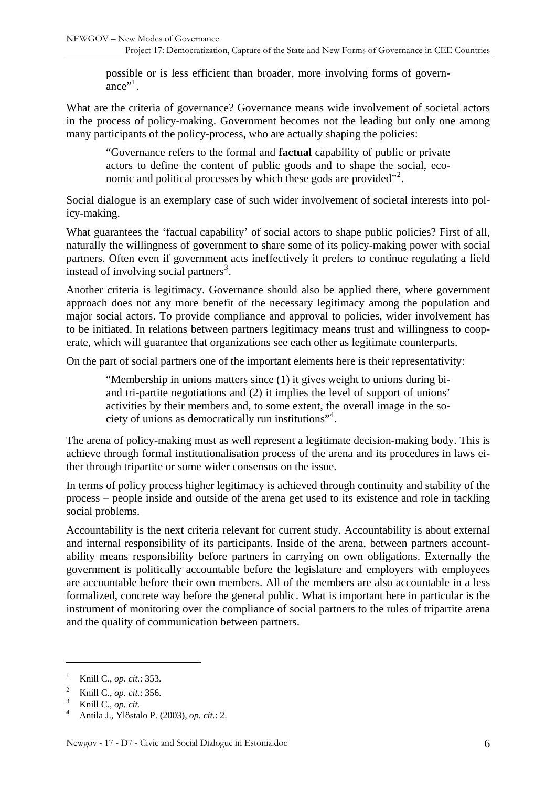possible or is less efficient than broader, more involving forms of govern-ance"<sup>[1](#page-5-0)</sup>.

What are the criteria of governance? Governance means wide involvement of societal actors in the process of policy-making. Government becomes not the leading but only one among many participants of the policy-process, who are actually shaping the policies:

"Governance refers to the formal and **factual** capability of public or private actors to define the content of public goods and to shape the social, eco-nomic and political processes by which these gods are provided"<sup>[2](#page-5-1)</sup>.

Social dialogue is an exemplary case of such wider involvement of societal interests into policy-making.

What guarantees the 'factual capability' of social actors to shape public policies? First of all, naturally the willingness of government to share some of its policy-making power with social partners. Often even if government acts ineffectively it prefers to continue regulating a field instead of involving social partners<sup>[3](#page-5-2)</sup>.

Another criteria is legitimacy. Governance should also be applied there, where government approach does not any more benefit of the necessary legitimacy among the population and major social actors. To provide compliance and approval to policies, wider involvement has to be initiated. In relations between partners legitimacy means trust and willingness to cooperate, which will guarantee that organizations see each other as legitimate counterparts.

On the part of social partners one of the important elements here is their representativity:

"Membership in unions matters since (1) it gives weight to unions during biand tri-partite negotiations and (2) it implies the level of support of unions' activities by their members and, to some extent, the overall image in the so-ciety of unions as democratically run institutions"<sup>[4](#page-5-3)</sup>.

The arena of policy-making must as well represent a legitimate decision-making body. This is achieve through formal institutionalisation process of the arena and its procedures in laws either through tripartite or some wider consensus on the issue.

In terms of policy process higher legitimacy is achieved through continuity and stability of the process – people inside and outside of the arena get used to its existence and role in tackling social problems.

Accountability is the next criteria relevant for current study. Accountability is about external and internal responsibility of its participants. Inside of the arena, between partners accountability means responsibility before partners in carrying on own obligations. Externally the government is politically accountable before the legislature and employers with employees are accountable before their own members. All of the members are also accountable in a less formalized, concrete way before the general public. What is important here in particular is the instrument of monitoring over the compliance of social partners to the rules of tripartite arena and the quality of communication between partners.

<span id="page-5-0"></span><sup>1</sup> Knill C., *op. cit.*: 353.

<span id="page-5-1"></span><sup>2</sup> <sup>2</sup> Knill C., *op. cit.*: 356.

Knill C., *op. cit.*

<span id="page-5-3"></span><span id="page-5-2"></span><sup>4</sup> Antila J., Ylöstalo P. (2003), *op. cit.*: 2.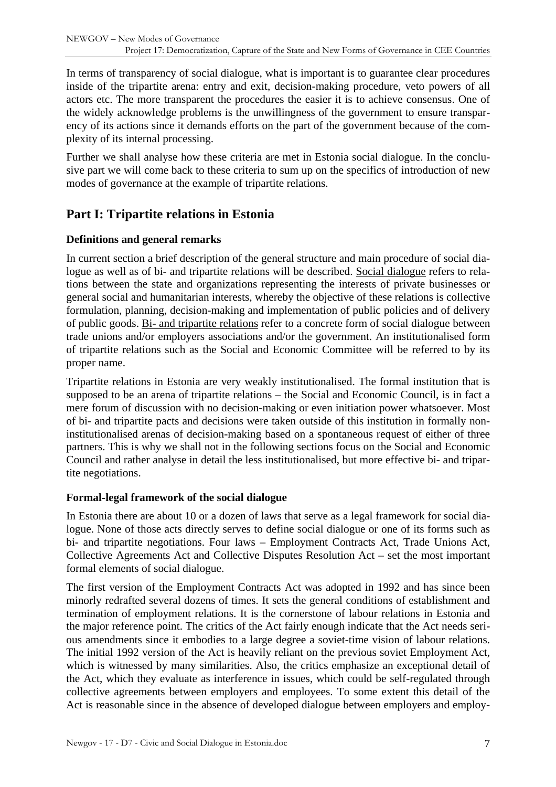<span id="page-6-0"></span>In terms of transparency of social dialogue, what is important is to guarantee clear procedures inside of the tripartite arena: entry and exit, decision-making procedure, veto powers of all actors etc. The more transparent the procedures the easier it is to achieve consensus. One of the widely acknowledge problems is the unwillingness of the government to ensure transparency of its actions since it demands efforts on the part of the government because of the complexity of its internal processing.

Further we shall analyse how these criteria are met in Estonia social dialogue. In the conclusive part we will come back to these criteria to sum up on the specifics of introduction of new modes of governance at the example of tripartite relations.

## **Part I: Tripartite relations in Estonia**

#### **Definitions and general remarks**

In current section a brief description of the general structure and main procedure of social dialogue as well as of bi- and tripartite relations will be described. Social dialogue refers to relations between the state and organizations representing the interests of private businesses or general social and humanitarian interests, whereby the objective of these relations is collective formulation, planning, decision-making and implementation of public policies and of delivery of public goods. Bi- and tripartite relations refer to a concrete form of social dialogue between trade unions and/or employers associations and/or the government. An institutionalised form of tripartite relations such as the Social and Economic Committee will be referred to by its proper name.

Tripartite relations in Estonia are very weakly institutionalised. The formal institution that is supposed to be an arena of tripartite relations – the Social and Economic Council, is in fact a mere forum of discussion with no decision-making or even initiation power whatsoever. Most of bi- and tripartite pacts and decisions were taken outside of this institution in formally noninstitutionalised arenas of decision-making based on a spontaneous request of either of three partners. This is why we shall not in the following sections focus on the Social and Economic Council and rather analyse in detail the less institutionalised, but more effective bi- and tripartite negotiations.

#### **Formal-legal framework of the social dialogue**

In Estonia there are about 10 or a dozen of laws that serve as a legal framework for social dialogue. None of those acts directly serves to define social dialogue or one of its forms such as bi- and tripartite negotiations. Four laws – Employment Contracts Act, Trade Unions Act, Collective Agreements Act and Collective Disputes Resolution Act – set the most important formal elements of social dialogue.

The first version of the Employment Contracts Act was adopted in 1992 and has since been minorly redrafted several dozens of times. It sets the general conditions of establishment and termination of employment relations. It is the cornerstone of labour relations in Estonia and the major reference point. The critics of the Act fairly enough indicate that the Act needs serious amendments since it embodies to a large degree a soviet-time vision of labour relations. The initial 1992 version of the Act is heavily reliant on the previous soviet Employment Act, which is witnessed by many similarities. Also, the critics emphasize an exceptional detail of the Act, which they evaluate as interference in issues, which could be self-regulated through collective agreements between employers and employees. To some extent this detail of the Act is reasonable since in the absence of developed dialogue between employers and employ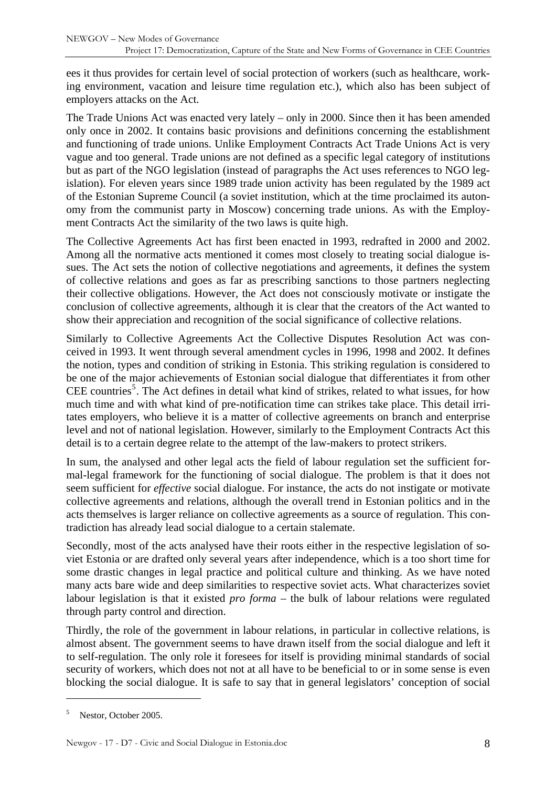ees it thus provides for certain level of social protection of workers (such as healthcare, working environment, vacation and leisure time regulation etc.), which also has been subject of employers attacks on the Act.

The Trade Unions Act was enacted very lately – only in 2000. Since then it has been amended only once in 2002. It contains basic provisions and definitions concerning the establishment and functioning of trade unions. Unlike Employment Contracts Act Trade Unions Act is very vague and too general. Trade unions are not defined as a specific legal category of institutions but as part of the NGO legislation (instead of paragraphs the Act uses references to NGO legislation). For eleven years since 1989 trade union activity has been regulated by the 1989 act of the Estonian Supreme Council (a soviet institution, which at the time proclaimed its autonomy from the communist party in Moscow) concerning trade unions. As with the Employment Contracts Act the similarity of the two laws is quite high.

The Collective Agreements Act has first been enacted in 1993, redrafted in 2000 and 2002. Among all the normative acts mentioned it comes most closely to treating social dialogue issues. The Act sets the notion of collective negotiations and agreements, it defines the system of collective relations and goes as far as prescribing sanctions to those partners neglecting their collective obligations. However, the Act does not consciously motivate or instigate the conclusion of collective agreements, although it is clear that the creators of the Act wanted to show their appreciation and recognition of the social significance of collective relations.

Similarly to Collective Agreements Act the Collective Disputes Resolution Act was conceived in 1993. It went through several amendment cycles in 1996, 1998 and 2002. It defines the notion, types and condition of striking in Estonia. This striking regulation is considered to be one of the major achievements of Estonian social dialogue that differentiates it from other CEE countries<sup>[5](#page-7-0)</sup>. The Act defines in detail what kind of strikes, related to what issues, for how much time and with what kind of pre-notification time can strikes take place. This detail irritates employers, who believe it is a matter of collective agreements on branch and enterprise level and not of national legislation. However, similarly to the Employment Contracts Act this detail is to a certain degree relate to the attempt of the law-makers to protect strikers.

In sum, the analysed and other legal acts the field of labour regulation set the sufficient formal-legal framework for the functioning of social dialogue. The problem is that it does not seem sufficient for *effective* social dialogue. For instance, the acts do not instigate or motivate collective agreements and relations, although the overall trend in Estonian politics and in the acts themselves is larger reliance on collective agreements as a source of regulation. This contradiction has already lead social dialogue to a certain stalemate.

Secondly, most of the acts analysed have their roots either in the respective legislation of soviet Estonia or are drafted only several years after independence, which is a too short time for some drastic changes in legal practice and political culture and thinking. As we have noted many acts bare wide and deep similarities to respective soviet acts. What characterizes soviet labour legislation is that it existed *pro forma* – the bulk of labour relations were regulated through party control and direction.

Thirdly, the role of the government in labour relations, in particular in collective relations, is almost absent. The government seems to have drawn itself from the social dialogue and left it to self-regulation. The only role it foresees for itself is providing minimal standards of social security of workers, which does not not at all have to be beneficial to or in some sense is even blocking the social dialogue. It is safe to say that in general legislators' conception of social

<span id="page-7-0"></span><sup>5</sup> Nestor, October 2005.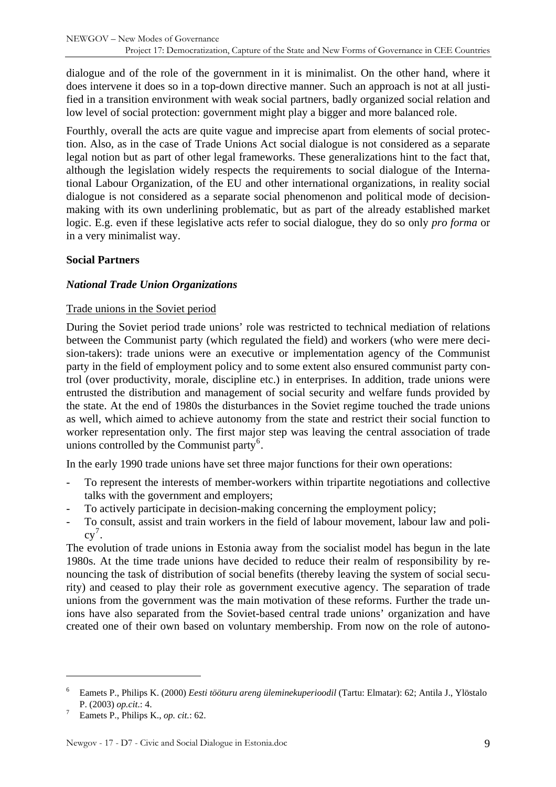<span id="page-8-0"></span>dialogue and of the role of the government in it is minimalist. On the other hand, where it does intervene it does so in a top-down directive manner. Such an approach is not at all justified in a transition environment with weak social partners, badly organized social relation and low level of social protection: government might play a bigger and more balanced role.

Fourthly, overall the acts are quite vague and imprecise apart from elements of social protection. Also, as in the case of Trade Unions Act social dialogue is not considered as a separate legal notion but as part of other legal frameworks. These generalizations hint to the fact that, although the legislation widely respects the requirements to social dialogue of the International Labour Organization, of the EU and other international organizations, in reality social dialogue is not considered as a separate social phenomenon and political mode of decisionmaking with its own underlining problematic, but as part of the already established market logic. E.g. even if these legislative acts refer to social dialogue, they do so only *pro forma* or in a very minimalist way.

#### **Social Partners**

#### *National Trade Union Organizations*

#### Trade unions in the Soviet period

During the Soviet period trade unions' role was restricted to technical mediation of relations between the Communist party (which regulated the field) and workers (who were mere decision-takers): trade unions were an executive or implementation agency of the Communist party in the field of employment policy and to some extent also ensured communist party control (over productivity, morale, discipline etc.) in enterprises. In addition, trade unions were entrusted the distribution and management of social security and welfare funds provided by the state. At the end of 1980s the disturbances in the Soviet regime touched the trade unions as well, which aimed to achieve autonomy from the state and restrict their social function to worker representation only. The first major step was leaving the central association of trade unions controlled by the Communist party<sup>[6](#page-8-1)</sup>.

In the early 1990 trade unions have set three major functions for their own operations:

- To represent the interests of member-workers within tripartite negotiations and collective talks with the government and employers;
- To actively participate in decision-making concerning the employment policy;
- To consult, assist and train workers in the field of labour movement, labour law and poli- $cy^7$  $cy^7$ .

The evolution of trade unions in Estonia away from the socialist model has begun in the late 1980s. At the time trade unions have decided to reduce their realm of responsibility by renouncing the task of distribution of social benefits (thereby leaving the system of social security) and ceased to play their role as government executive agency. The separation of trade unions from the government was the main motivation of these reforms. Further the trade unions have also separated from the Soviet-based central trade unions' organization and have created one of their own based on voluntary membership. From now on the role of autono-

<span id="page-8-1"></span><sup>6</sup> Eamets P., Philips K. (2000) *Eesti tööturu areng üleminekuperioodil* (Tartu: Elmatar): 62; Antila J., Ylöstalo P. (2003) *op.cit*.: 4. 7

<span id="page-8-2"></span>Eamets P., Philips K., *op. cit.*: 62.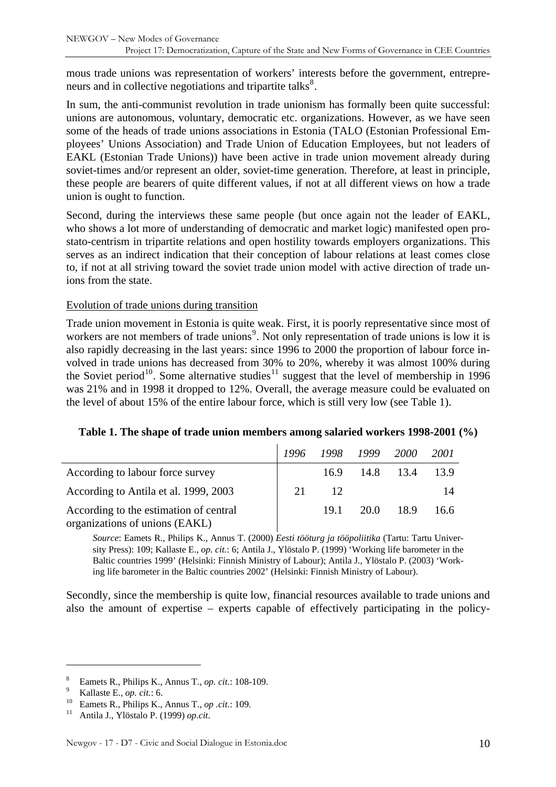<span id="page-9-0"></span>mous trade unions was representation of workers' interests before the government, entrepreneurs and in collective negotiations and tripartite talks $^{8}$  $^{8}$  $^{8}$ .

In sum, the anti-communist revolution in trade unionism has formally been quite successful: unions are autonomous, voluntary, democratic etc. organizations. However, as we have seen some of the heads of trade unions associations in Estonia (TALO (Estonian Professional Employees' Unions Association) and Trade Union of Education Employees, but not leaders of EAKL (Estonian Trade Unions)) have been active in trade union movement already during soviet-times and/or represent an older, soviet-time generation. Therefore, at least in principle, these people are bearers of quite different values, if not at all different views on how a trade union is ought to function.

Second, during the interviews these same people (but once again not the leader of EAKL, who shows a lot more of understanding of democratic and market logic) manifested open prostato-centrism in tripartite relations and open hostility towards employers organizations. This serves as an indirect indication that their conception of labour relations at least comes close to, if not at all striving toward the soviet trade union model with active direction of trade unions from the state.

#### Evolution of trade unions during transition

Trade union movement in Estonia is quite weak. First, it is poorly representative since most of workers are not members of trade unions<sup>[9](#page-9-2)</sup>. Not only representation of trade unions is low it is also rapidly decreasing in the last years: since 1996 to 2000 the proportion of labour force involved in trade unions has decreased from 30% to 20%, whereby it was almost 100% during the Soviet period<sup>[10](#page-9-3)</sup>. Some alternative studies<sup>[11](#page-9-4)</sup> suggest that the level of membership in 1996 was 21% and in 1998 it dropped to 12%. Overall, the average measure could be evaluated on the level of about 15% of the entire labour force, which is still very low (see Table 1).

| Table 1. The shape of trade union members among salaried workers 1998-2001 (%) |  |  |  |  |  |  |  |  |
|--------------------------------------------------------------------------------|--|--|--|--|--|--|--|--|
|--------------------------------------------------------------------------------|--|--|--|--|--|--|--|--|

|                                                                          | -1996 | 1998 1999 2000 |      |           | <i>2001</i> |
|--------------------------------------------------------------------------|-------|----------------|------|-----------|-------------|
| According to labour force survey                                         |       | 16.9           |      | 14.8 13.4 | 13.9        |
| According to Antila et al. 1999, 2003                                    | 21    | 12             |      |           | 14          |
| According to the estimation of central<br>organizations of unions (EAKL) |       | 19.1           | 20.0 | 18.9      | 16.6        |

*Source*: Eamets R., Philips K., Annus T. (2000) *Eesti tööturg ja tööpoliitika* (Tartu: Tartu University Press): 109; Kallaste E., *op. cit.*: 6; Antila J., Ylöstalo P. (1999) 'Working life barometer in the Baltic countries 1999' (Helsinki: Finnish Ministry of Labour); Antila J., Ylöstalo P. (2003) 'Working life barometer in the Baltic countries 2002' (Helsinki: Finnish Ministry of Labour).

Secondly, since the membership is quite low, financial resources available to trade unions and also the amount of expertise – experts capable of effectively participating in the policy-

<span id="page-9-1"></span><sup>8</sup> Eamets R., Philips K., Annus T., *op. cit.*: 108-109.<br>Kallaste E., *op. cit.*: 6.

<span id="page-9-2"></span>

<span id="page-9-3"></span><sup>&</sup>lt;sup>10</sup> Eamets R., *Philips K., Annus T., <i>op .cit.*: 109.<br><sup>11</sup> Antila J., Ylöstalo P. (1999) *op.cit.* 

<span id="page-9-4"></span>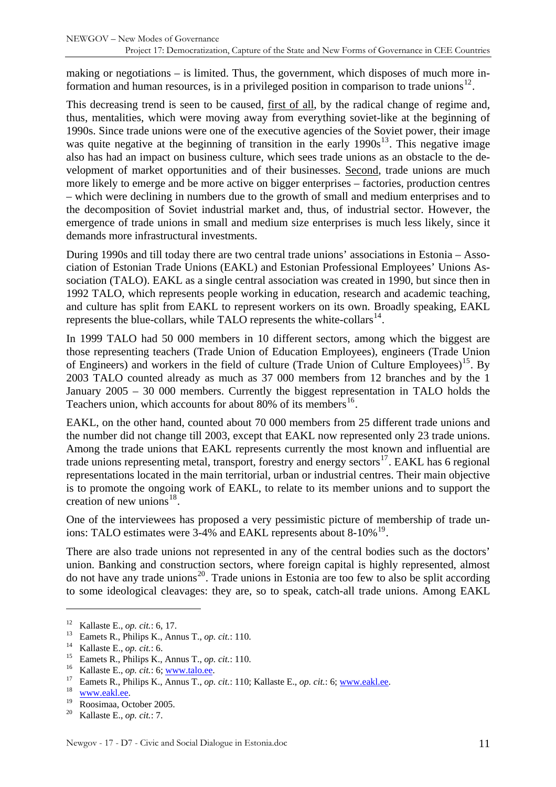making or negotiations – is limited. Thus, the government, which disposes of much more in-formation and human resources, is in a privileged position in comparison to trade unions<sup>[12](#page-10-0)</sup>.

This decreasing trend is seen to be caused, <u>first of all</u>, by the radical change of regime and, thus, mentalities, which were moving away from everything soviet-like at the beginning of 1990s. Since trade unions were one of the executive agencies of the Soviet power, their image was quite negative at the beginning of transition in the early  $1990s^{13}$  $1990s^{13}$  $1990s^{13}$ . This negative image also has had an impact on business culture, which sees trade unions as an obstacle to the development of market opportunities and of their businesses. Second, trade unions are much more likely to emerge and be more active on bigger enterprises – factories, production centres – which were declining in numbers due to the growth of small and medium enterprises and to the decomposition of Soviet industrial market and, thus, of industrial sector. However, the emergence of trade unions in small and medium size enterprises is much less likely, since it demands more infrastructural investments.

During 1990s and till today there are two central trade unions' associations in Estonia – Association of Estonian Trade Unions (EAKL) and Estonian Professional Employees' Unions Association (TALO). EAKL as a single central association was created in 1990, but since then in 1992 TALO, which represents people working in education, research and academic teaching, and culture has split from EAKL to represent workers on its own. Broadly speaking, EAKL represents the blue-collars, while TALO represents the white-collars $^{14}$  $^{14}$  $^{14}$ .

In 1999 TALO had 50 000 members in 10 different sectors, among which the biggest are those representing teachers (Trade Union of Education Employees), engineers (Trade Union of Engineers) and workers in the field of culture (Trade Union of Culture Employees)<sup>[15](#page-10-3)</sup>. By 2003 TALO counted already as much as 37 000 members from 12 branches and by the 1 January 2005 – 30 000 members. Currently the biggest representation in TALO holds the Teachers union, which accounts for about 80% of its members<sup>[16](#page-10-4)</sup>.

EAKL, on the other hand, counted about 70 000 members from 25 different trade unions and the number did not change till 2003, except that EAKL now represented only 23 trade unions. Among the trade unions that EAKL represents currently the most known and influential are trade unions representing metal, transport, forestry and energy sectors<sup>[17](#page-10-5)</sup>. EAKL has 6 regional representations located in the main territorial, urban or industrial centres. Their main objective is to promote the ongoing work of EAKL, to relate to its member unions and to support the creation of new unions $18$ .

One of the interviewees has proposed a very pessimistic picture of membership of trade unions: TALO estimates were  $3-4\%$  and EAKL represents about  $8-10\%$ <sup>[19](#page-10-7)</sup>.

There are also trade unions not represented in any of the central bodies such as the doctors' union. Banking and construction sectors, where foreign capital is highly represented, almost do not have any trade unions<sup>[20](#page-10-8)</sup>. Trade unions in Estonia are too few to also be split according to some ideological cleavages: they are, so to speak, catch-all trade unions. Among EAKL

<span id="page-10-2"></span>

<span id="page-10-3"></span>

<span id="page-10-4"></span>

<span id="page-10-1"></span><span id="page-10-0"></span><sup>&</sup>lt;sup>12</sup> Kallaste E., *op. cit.*: 6, 17.<br>
<sup>13</sup> Eamets R., Philips K., Annus T., *op. cit.*: 110.<br>
<sup>14</sup> Kallaste E., *op. cit.*: 6.<br>
<sup>15</sup> Eamets R., Philips K., Annus T., *op. cit.*: 110.<br>
<sup>16</sup> Kallaste E., *op. cit.*: 6; <u>www</u>

<span id="page-10-6"></span><span id="page-10-5"></span>

<span id="page-10-7"></span>

<span id="page-10-8"></span>Kallaste E., *op. cit.*: 7.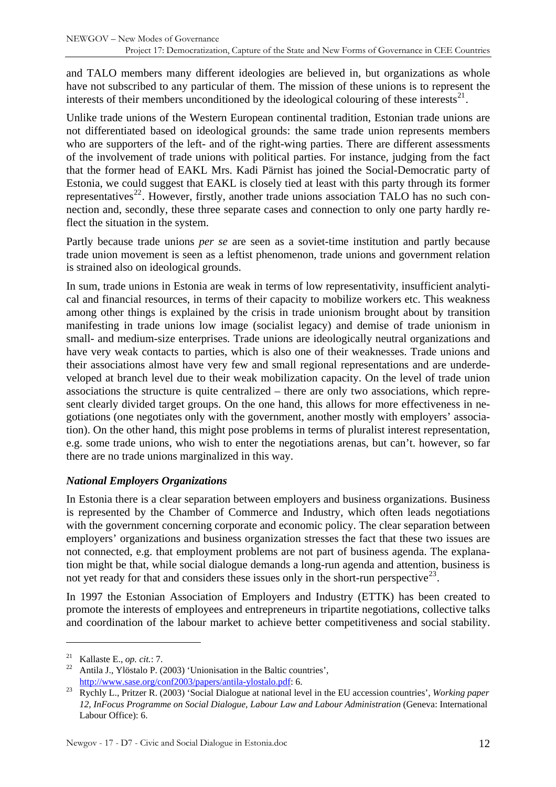<span id="page-11-0"></span>and TALO members many different ideologies are believed in, but organizations as whole have not subscribed to any particular of them. The mission of these unions is to represent the interests of their members unconditioned by the ideological colouring of these interests $^{21}$  $^{21}$  $^{21}$ .

Unlike trade unions of the Western European continental tradition, Estonian trade unions are not differentiated based on ideological grounds: the same trade union represents members who are supporters of the left- and of the right-wing parties. There are different assessments of the involvement of trade unions with political parties. For instance, judging from the fact that the former head of EAKL Mrs. Kadi Pärnist has joined the Social-Democratic party of Estonia, we could suggest that EAKL is closely tied at least with this party through its former representatives<sup>[22](#page-11-2)</sup>. However, firstly, another trade unions association TALO has no such connection and, secondly, these three separate cases and connection to only one party hardly reflect the situation in the system.

Partly because trade unions *per se* are seen as a soviet-time institution and partly because trade union movement is seen as a leftist phenomenon, trade unions and government relation is strained also on ideological grounds.

In sum, trade unions in Estonia are weak in terms of low representativity, insufficient analytical and financial resources, in terms of their capacity to mobilize workers etc. This weakness among other things is explained by the crisis in trade unionism brought about by transition manifesting in trade unions low image (socialist legacy) and demise of trade unionism in small- and medium-size enterprises. Trade unions are ideologically neutral organizations and have very weak contacts to parties, which is also one of their weaknesses. Trade unions and their associations almost have very few and small regional representations and are underdeveloped at branch level due to their weak mobilization capacity. On the level of trade union associations the structure is quite centralized – there are only two associations, which represent clearly divided target groups. On the one hand, this allows for more effectiveness in negotiations (one negotiates only with the government, another mostly with employers' association). On the other hand, this might pose problems in terms of pluralist interest representation, e.g. some trade unions, who wish to enter the negotiations arenas, but can't. however, so far there are no trade unions marginalized in this way.

#### *National Employers Organizations*

In Estonia there is a clear separation between employers and business organizations. Business is represented by the Chamber of Commerce and Industry, which often leads negotiations with the government concerning corporate and economic policy. The clear separation between employers' organizations and business organization stresses the fact that these two issues are not connected, e.g. that employment problems are not part of business agenda. The explanation might be that, while social dialogue demands a long-run agenda and attention, business is not yet ready for that and considers these issues only in the short-run perspective  $2^3$ .

In 1997 the Estonian Association of Employers and Industry (ETTK) has been created to promote the interests of employees and entrepreneurs in tripartite negotiations, collective talks and coordination of the labour market to achieve better competitiveness and social stability.

<span id="page-11-2"></span><span id="page-11-1"></span><sup>&</sup>lt;sup>21</sup> Kallaste E., *op. cit.*: 7.<br><sup>22</sup> Antila J., Ylöstalo P. (2003) 'Unionisation in the Baltic countries',

<span id="page-11-3"></span>[http://www.sase.org/conf2003/papers/antila-ylostalo.pdf:](http://www.sase.org/conf2003/papers/antila-ylostalo.pdf) 6.<br>Rychly L., Pritzer R. (2003) 'Social Dialogue at national level in the EU accession countries', *Working paper 12, InFocus Programme on Social Dialogue, Labour Law and Labour Administration* (Geneva: International Labour Office): 6.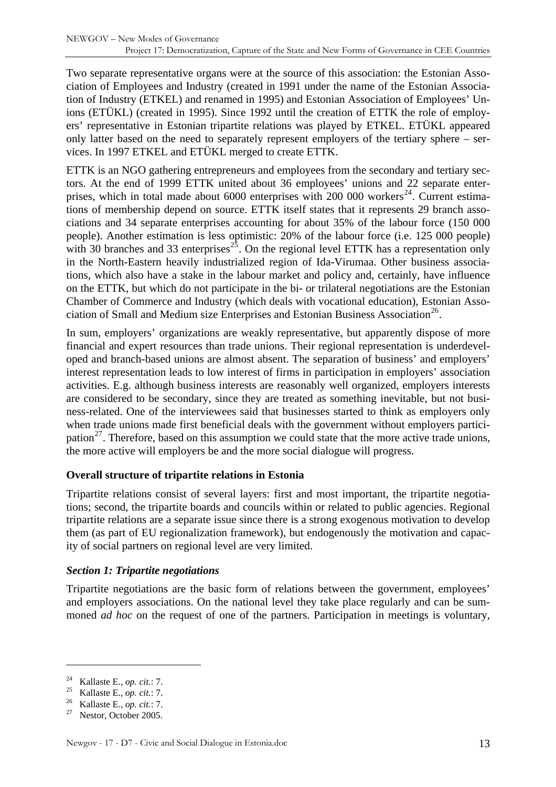<span id="page-12-0"></span>Two separate representative organs were at the source of this association: the Estonian Association of Employees and Industry (created in 1991 under the name of the Estonian Association of Industry (ETKEL) and renamed in 1995) and Estonian Association of Employees' Unions (ETÜKL) (created in 1995). Since 1992 until the creation of ETTK the role of employers' representative in Estonian tripartite relations was played by ETKEL. ETÜKL appeared only latter based on the need to separately represent employers of the tertiary sphere – services. In 1997 ETKEL and ETÜKL merged to create ETTK.

ETTK is an NGO gathering entrepreneurs and employees from the secondary and tertiary sectors. At the end of 1999 ETTK united about 36 employees' unions and 22 separate enter-prises, which in total made about 6000 enterprises with 200 000 workers<sup>[24](#page-12-1)</sup>. Current estimations of membership depend on source. ETTK itself states that it represents 29 branch associations and 34 separate enterprises accounting for about 35% of the labour force (150 000 people). Another estimation is less optimistic: 20% of the labour force (i.e. 125 000 people) with 30 branches and 33 enterprises<sup>[25](#page-12-2)</sup>. On the regional level ETTK has a representation only in the North-Eastern heavily industrialized region of Ida-Virumaa. Other business associations, which also have a stake in the labour market and policy and, certainly, have influence on the ETTK, but which do not participate in the bi- or trilateral negotiations are the Estonian Chamber of Commerce and Industry (which deals with vocational education), Estonian Asso-ciation of Small and Medium size Enterprises and Estonian Business Association<sup>[26](#page-12-3)</sup>.

In sum, employers' organizations are weakly representative, but apparently dispose of more financial and expert resources than trade unions. Their regional representation is underdeveloped and branch-based unions are almost absent. The separation of business' and employers' interest representation leads to low interest of firms in participation in employers' association activities. E.g. although business interests are reasonably well organized, employers interests are considered to be secondary, since they are treated as something inevitable, but not business-related. One of the interviewees said that businesses started to think as employers only when trade unions made first beneficial deals with the government without employers partici-pation<sup>[27](#page-12-4)</sup>. Therefore, based on this assumption we could state that the more active trade unions, the more active will employers be and the more social dialogue will progress.

#### **Overall structure of tripartite relations in Estonia**

Tripartite relations consist of several layers: first and most important, the tripartite negotiations; second, the tripartite boards and councils within or related to public agencies. Regional tripartite relations are a separate issue since there is a strong exogenous motivation to develop them (as part of EU regionalization framework), but endogenously the motivation and capacity of social partners on regional level are very limited.

#### *Section 1: Tripartite negotiations*

Tripartite negotiations are the basic form of relations between the government, employees' and employers associations. On the national level they take place regularly and can be summoned *ad hoc* on the request of one of the partners. Participation in meetings is voluntary,

<span id="page-12-1"></span><sup>&</sup>lt;sup>24</sup> Kallaste E., *op. cit.*: 7.<br><sup>25</sup> Kallaste E., *op. cit.*: 7.<br><sup>26</sup> Kallaste E., *op. cit.*: 7.<br><sup>27</sup> Nestor, October 2005.

<span id="page-12-2"></span>

<span id="page-12-3"></span>

<span id="page-12-4"></span>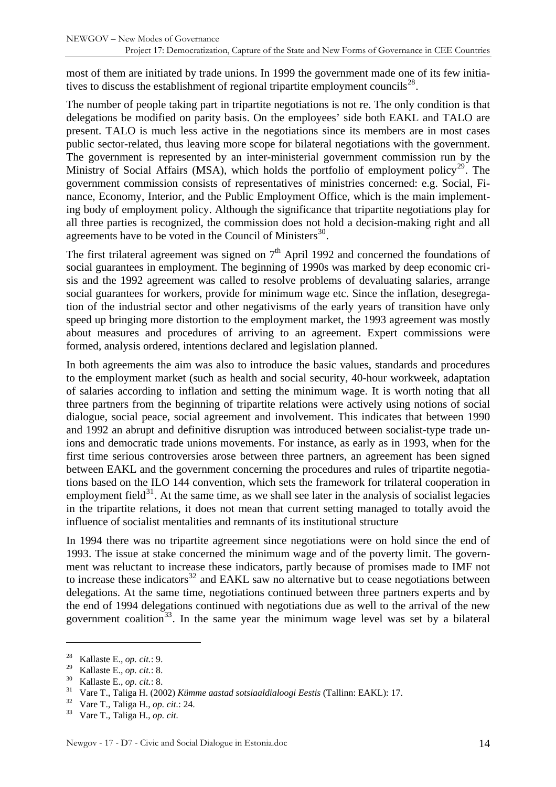most of them are initiated by trade unions. In 1999 the government made one of its few initiatives to discuss the establishment of regional tripartite employment councils $^{28}$  $^{28}$  $^{28}$ .

The number of people taking part in tripartite negotiations is not re. The only condition is that delegations be modified on parity basis. On the employees' side both EAKL and TALO are present. TALO is much less active in the negotiations since its members are in most cases public sector-related, thus leaving more scope for bilateral negotiations with the government. The government is represented by an inter-ministerial government commission run by the Ministry of Social Affairs (MSA), which holds the portfolio of employment policy<sup>[29](#page-13-1)</sup>. The government commission consists of representatives of ministries concerned: e.g. Social, Finance, Economy, Interior, and the Public Employment Office, which is the main implementing body of employment policy. Although the significance that tripartite negotiations play for all three parties is recognized, the commission does not hold a decision-making right and all agreements have to be voted in the Council of Ministers $^{30}$  $^{30}$  $^{30}$ .

The first trilateral agreement was signed on  $7<sup>th</sup>$  April 1992 and concerned the foundations of social guarantees in employment. The beginning of 1990s was marked by deep economic crisis and the 1992 agreement was called to resolve problems of devaluating salaries, arrange social guarantees for workers, provide for minimum wage etc. Since the inflation, desegregation of the industrial sector and other negativisms of the early years of transition have only speed up bringing more distortion to the employment market, the 1993 agreement was mostly about measures and procedures of arriving to an agreement. Expert commissions were formed, analysis ordered, intentions declared and legislation planned.

In both agreements the aim was also to introduce the basic values, standards and procedures to the employment market (such as health and social security, 40-hour workweek, adaptation of salaries according to inflation and setting the minimum wage. It is worth noting that all three partners from the beginning of tripartite relations were actively using notions of social dialogue, social peace, social agreement and involvement. This indicates that between 1990 and 1992 an abrupt and definitive disruption was introduced between socialist-type trade unions and democratic trade unions movements. For instance, as early as in 1993, when for the first time serious controversies arose between three partners, an agreement has been signed between EAKL and the government concerning the procedures and rules of tripartite negotiations based on the ILO 144 convention, which sets the framework for trilateral cooperation in employment field $31$ . At the same time, as we shall see later in the analysis of socialist legacies in the tripartite relations, it does not mean that current setting managed to totally avoid the influence of socialist mentalities and remnants of its institutional structure

In 1994 there was no tripartite agreement since negotiations were on hold since the end of 1993. The issue at stake concerned the minimum wage and of the poverty limit. The government was reluctant to increase these indicators, partly because of promises made to IMF not to increase these indicators<sup>[32](#page-13-4)</sup> and EAKL saw no alternative but to cease negotiations between delegations. At the same time, negotiations continued between three partners experts and by the end of 1994 delegations continued with negotiations due as well to the arrival of the new government coalition<sup>[33](#page-13-5)</sup>. In the same year the minimum wage level was set by a bilateral

<span id="page-13-1"></span><span id="page-13-0"></span><sup>28</sup> Kallaste E., *op. cit.*: 9.

<span id="page-13-3"></span><span id="page-13-2"></span><sup>&</sup>lt;sup>30</sup> Kallaste E., *op. cit.*: 8.<br><sup>31</sup> Vare T., Taliga H. (2002) *Kümme aastad sotsiaaldialoogi Eestis* (Tallinn: EAKL): 17.<br><sup>32</sup> Vare T., Taliga H., *op. cit.*: 24.<br><sup>33</sup> Vare T., Taliga H., *op. cit.*:

<span id="page-13-5"></span><span id="page-13-4"></span>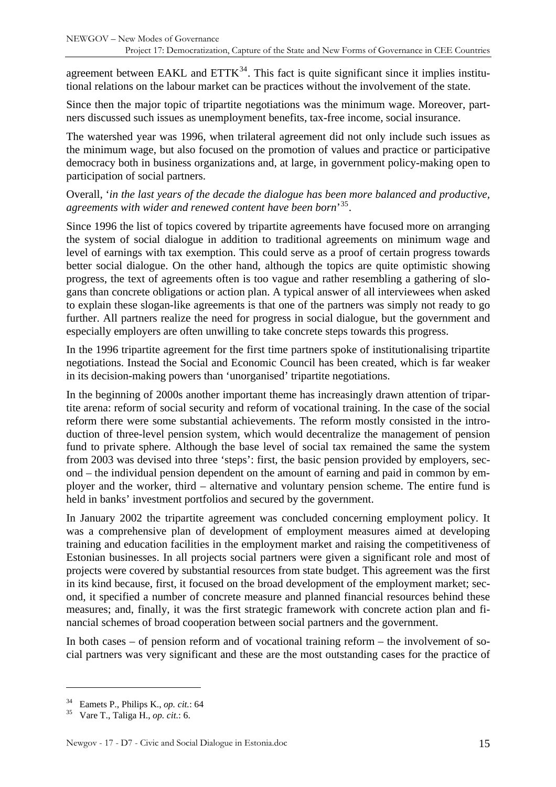agreement between EAKL and  $ETTK<sup>34</sup>$  $ETTK<sup>34</sup>$  $ETTK<sup>34</sup>$ . This fact is quite significant since it implies institutional relations on the labour market can be practices without the involvement of the state.

Since then the major topic of tripartite negotiations was the minimum wage. Moreover, partners discussed such issues as unemployment benefits, tax-free income, social insurance.

The watershed year was 1996, when trilateral agreement did not only include such issues as the minimum wage, but also focused on the promotion of values and practice or participative democracy both in business organizations and, at large, in government policy-making open to participation of social partners.

#### Overall, '*in the last years of the decade the dialogue has been more balanced and productive, agreements with wider and renewed content have been born*' [35](#page-14-1).

Since 1996 the list of topics covered by tripartite agreements have focused more on arranging the system of social dialogue in addition to traditional agreements on minimum wage and level of earnings with tax exemption. This could serve as a proof of certain progress towards better social dialogue. On the other hand, although the topics are quite optimistic showing progress, the text of agreements often is too vague and rather resembling a gathering of slogans than concrete obligations or action plan. A typical answer of all interviewees when asked to explain these slogan-like agreements is that one of the partners was simply not ready to go further. All partners realize the need for progress in social dialogue, but the government and especially employers are often unwilling to take concrete steps towards this progress.

In the 1996 tripartite agreement for the first time partners spoke of institutionalising tripartite negotiations. Instead the Social and Economic Council has been created, which is far weaker in its decision-making powers than 'unorganised' tripartite negotiations.

In the beginning of 2000s another important theme has increasingly drawn attention of tripartite arena: reform of social security and reform of vocational training. In the case of the social reform there were some substantial achievements. The reform mostly consisted in the introduction of three-level pension system, which would decentralize the management of pension fund to private sphere. Although the base level of social tax remained the same the system from 2003 was devised into three 'steps': first, the basic pension provided by employers, second – the individual pension dependent on the amount of earning and paid in common by employer and the worker, third – alternative and voluntary pension scheme. The entire fund is held in banks' investment portfolios and secured by the government.

In January 2002 the tripartite agreement was concluded concerning employment policy. It was a comprehensive plan of development of employment measures aimed at developing training and education facilities in the employment market and raising the competitiveness of Estonian businesses. In all projects social partners were given a significant role and most of projects were covered by substantial resources from state budget. This agreement was the first in its kind because, first, it focused on the broad development of the employment market; second, it specified a number of concrete measure and planned financial resources behind these measures; and, finally, it was the first strategic framework with concrete action plan and financial schemes of broad cooperation between social partners and the government.

In both cases – of pension reform and of vocational training reform – the involvement of social partners was very significant and these are the most outstanding cases for the practice of

<span id="page-14-0"></span><sup>34</sup> Eamets P., Philips K., *op. cit.*: 64 35 Vare T., Taliga H., *op. cit.*: 6.

<span id="page-14-1"></span>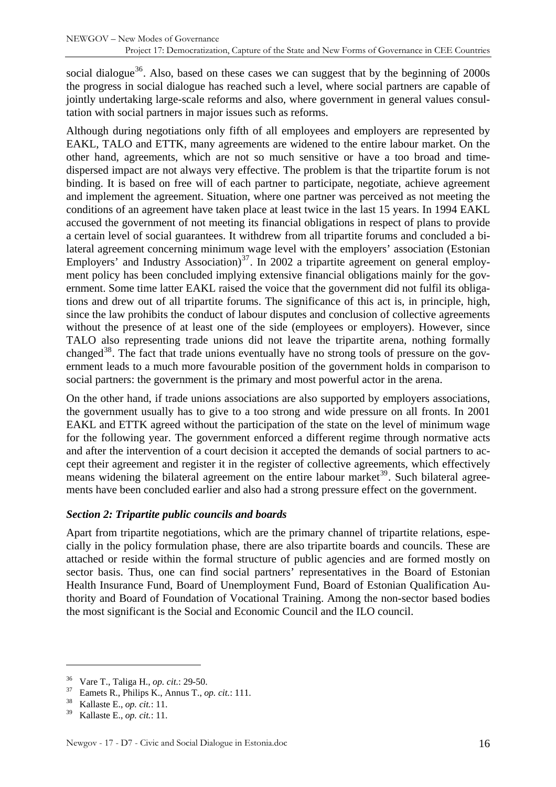<span id="page-15-0"></span>social dialogue<sup>[36](#page-15-1)</sup>. Also, based on these cases we can suggest that by the beginning of  $2000s$ the progress in social dialogue has reached such a level, where social partners are capable of jointly undertaking large-scale reforms and also, where government in general values consultation with social partners in major issues such as reforms.

Although during negotiations only fifth of all employees and employers are represented by EAKL, TALO and ETTK, many agreements are widened to the entire labour market. On the other hand, agreements, which are not so much sensitive or have a too broad and timedispersed impact are not always very effective. The problem is that the tripartite forum is not binding. It is based on free will of each partner to participate, negotiate, achieve agreement and implement the agreement. Situation, where one partner was perceived as not meeting the conditions of an agreement have taken place at least twice in the last 15 years. In 1994 EAKL accused the government of not meeting its financial obligations in respect of plans to provide a certain level of social guarantees. It withdrew from all tripartite forums and concluded a bilateral agreement concerning minimum wage level with the employers' association (Estonian Employers' and Industry Association)<sup>[37](#page-15-2)</sup>. In 2002 a tripartite agreement on general employment policy has been concluded implying extensive financial obligations mainly for the government. Some time latter EAKL raised the voice that the government did not fulfil its obligations and drew out of all tripartite forums. The significance of this act is, in principle, high, since the law prohibits the conduct of labour disputes and conclusion of collective agreements without the presence of at least one of the side (employees or employers). However, since TALO also representing trade unions did not leave the tripartite arena, nothing formally changed<sup>[38](#page-15-3)</sup>. The fact that trade unions eventually have no strong tools of pressure on the government leads to a much more favourable position of the government holds in comparison to social partners: the government is the primary and most powerful actor in the arena.

On the other hand, if trade unions associations are also supported by employers associations, the government usually has to give to a too strong and wide pressure on all fronts. In 2001 EAKL and ETTK agreed without the participation of the state on the level of minimum wage for the following year. The government enforced a different regime through normative acts and after the intervention of a court decision it accepted the demands of social partners to accept their agreement and register it in the register of collective agreements, which effectively means widening the bilateral agreement on the entire labour market<sup>[39](#page-15-4)</sup>. Such bilateral agreements have been concluded earlier and also had a strong pressure effect on the government.

#### *Section 2: Tripartite public councils and boards*

Apart from tripartite negotiations, which are the primary channel of tripartite relations, especially in the policy formulation phase, there are also tripartite boards and councils. These are attached or reside within the formal structure of public agencies and are formed mostly on sector basis. Thus, one can find social partners' representatives in the Board of Estonian Health Insurance Fund, Board of Unemployment Fund, Board of Estonian Qualification Authority and Board of Foundation of Vocational Training. Among the non-sector based bodies the most significant is the Social and Economic Council and the ILO council.

<span id="page-15-2"></span><span id="page-15-1"></span><sup>36</sup> Vare T., Taliga H., *op. cit.*: 29-50. 37 Eamets R., Philips K., Annus T., *op. cit.*: 111. 38 Kallaste E., *op. cit.*: 11.

<span id="page-15-3"></span>

<span id="page-15-4"></span><sup>39</sup> Kallaste E., *op. cit.*: 11.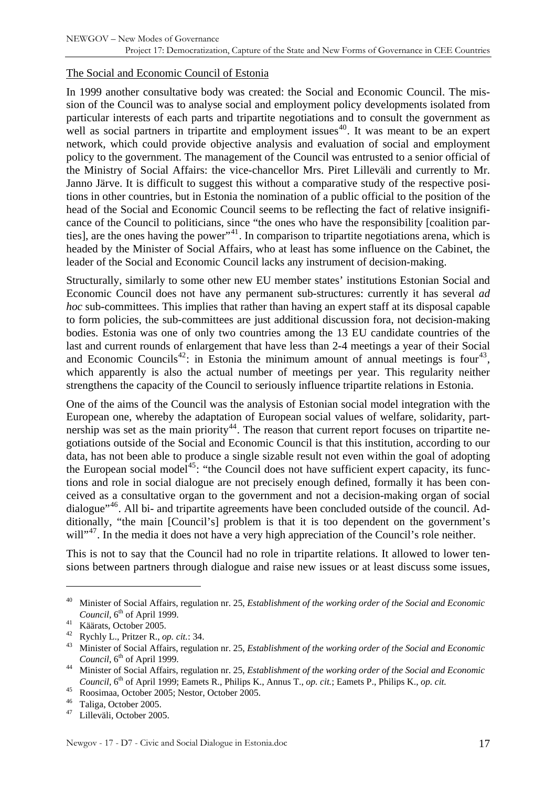#### <span id="page-16-0"></span>The Social and Economic Council of Estonia

In 1999 another consultative body was created: the Social and Economic Council. The mission of the Council was to analyse social and employment policy developments isolated from particular interests of each parts and tripartite negotiations and to consult the government as well as social partners in tripartite and employment issues<sup>[40](#page-16-1)</sup>. It was meant to be an expert network, which could provide objective analysis and evaluation of social and employment policy to the government. The management of the Council was entrusted to a senior official of the Ministry of Social Affairs: the vice-chancellor Mrs. Piret Lilleväli and currently to Mr. Janno Järve. It is difficult to suggest this without a comparative study of the respective positions in other countries, but in Estonia the nomination of a public official to the position of the head of the Social and Economic Council seems to be reflecting the fact of relative insignificance of the Council to politicians, since "the ones who have the responsibility [coalition par-ties], are the ones having the power"<sup>[41](#page-16-2)</sup>. In comparison to tripartite negotiations arena, which is headed by the Minister of Social Affairs, who at least has some influence on the Cabinet, the leader of the Social and Economic Council lacks any instrument of decision-making.

Structurally, similarly to some other new EU member states' institutions Estonian Social and Economic Council does not have any permanent sub-structures: currently it has several *ad hoc* sub-committees. This implies that rather than having an expert staff at its disposal capable to form policies, the sub-committees are just additional discussion fora, not decision-making bodies. Estonia was one of only two countries among the 13 EU candidate countries of the last and current rounds of enlargement that have less than 2-4 meetings a year of their Social and Economic Councils<sup>[42](#page-16-3)</sup>: in Estonia the minimum amount of annual meetings is four<sup>[43](#page-16-4)</sup>, which apparently is also the actual number of meetings per year. This regularity neither strengthens the capacity of the Council to seriously influence tripartite relations in Estonia.

One of the aims of the Council was the analysis of Estonian social model integration with the European one, whereby the adaptation of European social values of welfare, solidarity, part-nership was set as the main priority<sup>[44](#page-16-5)</sup>. The reason that current report focuses on tripartite negotiations outside of the Social and Economic Council is that this institution, according to our data, has not been able to produce a single sizable result not even within the goal of adopting the European social model<sup>[45](#page-16-6)</sup>: "the Council does not have sufficient expert capacity, its functions and role in social dialogue are not precisely enough defined, formally it has been conceived as a consultative organ to the government and not a decision-making organ of social dialogue<sup>"[46](#page-16-7)</sup>. All bi- and tripartite agreements have been concluded outside of the council. Additionally, "the main [Council's] problem is that it is too dependent on the government's will"<sup>[47](#page-16-8)</sup>. In the media it does not have a very high appreciation of the Council's role neither.

This is not to say that the Council had no role in tripartite relations. It allowed to lower tensions between partners through dialogue and raise new issues or at least discuss some issues,

<span id="page-16-1"></span><sup>40</sup> Minister of Social Affairs, regulation nr. 25, *Establishment of the working order of the Social and Economic Council*, 6<sup>th</sup> of April 1999.<br><sup>41</sup> Käärats, October 2005.<br><sup>42</sup> Rychly L., Pritzer R., *op. cit.*: 34.

<span id="page-16-2"></span>

<span id="page-16-4"></span><span id="page-16-3"></span><sup>&</sup>lt;sup>43</sup> Minister of Social Affairs, regulation nr. 25, *Establishment of the working order of the Social and Economic Council*, 6<sup>th</sup> of April 1999.<br><sup>44</sup> Minister of Social Affairs, regulation nr. 25, *Establishment of the working order of the Social and Economic* 

<span id="page-16-5"></span>*Council*, 6<sup>th</sup> of April 1999; Eamets R., Philips K., Annus T., *op. cit.*; Eamets P., Philips K., *op. cit.* 

<span id="page-16-6"></span><sup>&</sup>lt;sup>45</sup> Roosimaa, October 2005; Nestor, October 2005.

<span id="page-16-8"></span><span id="page-16-7"></span> $^{46}$  Taliga, October 2005.

Lilleväli, October 2005.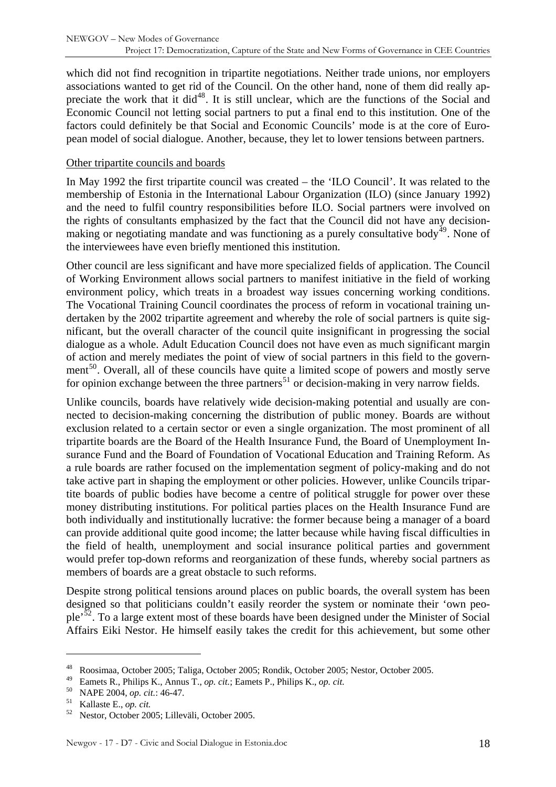<span id="page-17-0"></span>which did not find recognition in tripartite negotiations. Neither trade unions, nor employers associations wanted to get rid of the Council. On the other hand, none of them did really ap-preciate the work that it did<sup>[48](#page-17-1)</sup>. It is still unclear, which are the functions of the Social and Economic Council not letting social partners to put a final end to this institution. One of the factors could definitely be that Social and Economic Councils' mode is at the core of European model of social dialogue. Another, because, they let to lower tensions between partners.

#### Other tripartite councils and boards

In May 1992 the first tripartite council was created – the 'ILO Council'. It was related to the membership of Estonia in the International Labour Organization (ILO) (since January 1992) and the need to fulfil country responsibilities before ILO. Social partners were involved on the rights of consultants emphasized by the fact that the Council did not have any decisionmaking or negotiating mandate and was functioning as a purely consultative body $49$ . None of the interviewees have even briefly mentioned this institution.

Other council are less significant and have more specialized fields of application. The Council of Working Environment allows social partners to manifest initiative in the field of working environment policy, which treats in a broadest way issues concerning working conditions. The Vocational Training Council coordinates the process of reform in vocational training undertaken by the 2002 tripartite agreement and whereby the role of social partners is quite significant, but the overall character of the council quite insignificant in progressing the social dialogue as a whole. Adult Education Council does not have even as much significant margin of action and merely mediates the point of view of social partners in this field to the govern-ment<sup>[50](#page-17-3)</sup>. Overall, all of these councils have quite a limited scope of powers and mostly serve for opinion exchange between the three partners<sup>[51](#page-17-4)</sup> or decision-making in very narrow fields.

Unlike councils, boards have relatively wide decision-making potential and usually are connected to decision-making concerning the distribution of public money. Boards are without exclusion related to a certain sector or even a single organization. The most prominent of all tripartite boards are the Board of the Health Insurance Fund, the Board of Unemployment Insurance Fund and the Board of Foundation of Vocational Education and Training Reform. As a rule boards are rather focused on the implementation segment of policy-making and do not take active part in shaping the employment or other policies. However, unlike Councils tripartite boards of public bodies have become a centre of political struggle for power over these money distributing institutions. For political parties places on the Health Insurance Fund are both individually and institutionally lucrative: the former because being a manager of a board can provide additional quite good income; the latter because while having fiscal difficulties in the field of health, unemployment and social insurance political parties and government would prefer top-down reforms and reorganization of these funds, whereby social partners as members of boards are a great obstacle to such reforms.

Despite strong political tensions around places on public boards, the overall system has been designed so that politicians couldn't easily reorder the system or nominate their 'own peo-ple<sup>[52](#page-17-5)</sup>. To a large extent most of these boards have been designed under the Minister of Social Affairs Eiki Nestor. He himself easily takes the credit for this achievement, but some other

<span id="page-17-1"></span><sup>48</sup> Roosimaa, October 2005; Taliga, October 2005; Rondik, October 2005; Nestor, October 2005.

<span id="page-17-2"></span><sup>49</sup> Eamets R., Philips K., Annus T., *op. cit.*; Eamets P., Philips K., *op. cit.*

<span id="page-17-4"></span><span id="page-17-3"></span><sup>50</sup> NAPE 2004, *op. cit.*: 46-47. 51 Kallaste E., *op. cit.*

<span id="page-17-5"></span><sup>52</sup> Nestor, October 2005; Lilleväli, October 2005.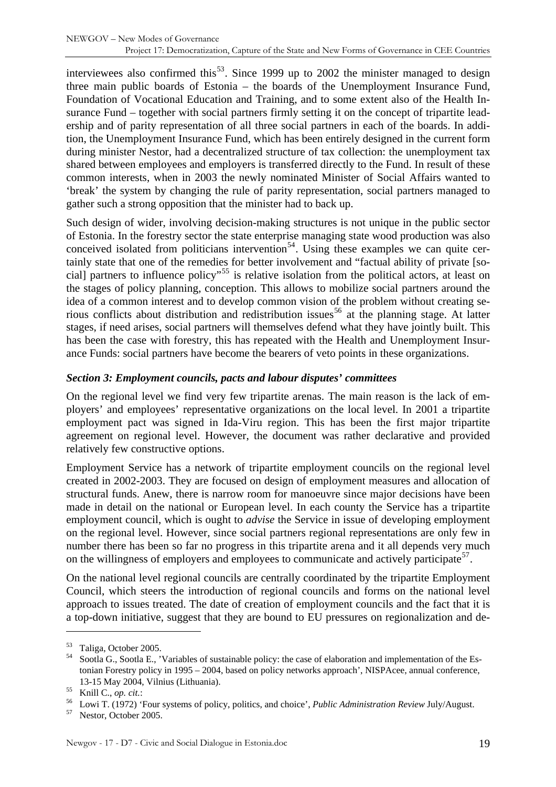<span id="page-18-0"></span>interviewees also confirmed this<sup>[53](#page-18-1)</sup>. Since 1999 up to 2002 the minister managed to design three main public boards of Estonia – the boards of the Unemployment Insurance Fund, Foundation of Vocational Education and Training, and to some extent also of the Health Insurance Fund – together with social partners firmly setting it on the concept of tripartite leadership and of parity representation of all three social partners in each of the boards. In addition, the Unemployment Insurance Fund, which has been entirely designed in the current form during minister Nestor, had a decentralized structure of tax collection: the unemployment tax shared between employees and employers is transferred directly to the Fund. In result of these common interests, when in 2003 the newly nominated Minister of Social Affairs wanted to 'break' the system by changing the rule of parity representation, social partners managed to gather such a strong opposition that the minister had to back up.

Such design of wider, involving decision-making structures is not unique in the public sector of Estonia. In the forestry sector the state enterprise managing state wood production was also conceived isolated from politicians intervention<sup>[54](#page-18-2)</sup>. Using these examples we can quite certainly state that one of the remedies for better involvement and "factual ability of private [social] partners to influence policy"[55](#page-18-3) is relative isolation from the political actors, at least on the stages of policy planning, conception. This allows to mobilize social partners around the idea of a common interest and to develop common vision of the problem without creating serious conflicts about distribution and redistribution issues  $56$  at the planning stage. At latter stages, if need arises, social partners will themselves defend what they have jointly built. This has been the case with forestry, this has repeated with the Health and Unemployment Insurance Funds: social partners have become the bearers of veto points in these organizations.

#### *Section 3: Employment councils, pacts and labour disputes' committees*

On the regional level we find very few tripartite arenas. The main reason is the lack of employers' and employees' representative organizations on the local level. In 2001 a tripartite employment pact was signed in Ida-Viru region. This has been the first major tripartite agreement on regional level. However, the document was rather declarative and provided relatively few constructive options.

Employment Service has a network of tripartite employment councils on the regional level created in 2002-2003. They are focused on design of employment measures and allocation of structural funds. Anew, there is narrow room for manoeuvre since major decisions have been made in detail on the national or European level. In each county the Service has a tripartite employment council, which is ought to *advise* the Service in issue of developing employment on the regional level. However, since social partners regional representations are only few in number there has been so far no progress in this tripartite arena and it all depends very much on the willingness of employers and employees to communicate and actively participate<sup>[57](#page-18-5)</sup>.

On the national level regional councils are centrally coordinated by the tripartite Employment Council, which steers the introduction of regional councils and forms on the national level approach to issues treated. The date of creation of employment councils and the fact that it is a top-down initiative, suggest that they are bound to EU pressures on regionalization and de-

<span id="page-18-1"></span><sup>53</sup> Taliga, October 2005.

<span id="page-18-2"></span>Sootla G., Sootla E., 'Variables of sustainable policy: the case of elaboration and implementation of the Estonian Forestry policy in 1995 – 2004, based on policy networks approach', NISPAcee, annual conference,

<span id="page-18-4"></span>

<span id="page-18-3"></span><sup>13-15</sup> May 2004, Vilnius (Lithuania).<br>
<sup>55</sup> Knill C., *op. cit.*: Cowi T. (1972) 'Four systems of policy, politics, and choice', *Public Administration Review July/August.*<br>
<sup>57</sup> Nestor, October 2005.

<span id="page-18-5"></span>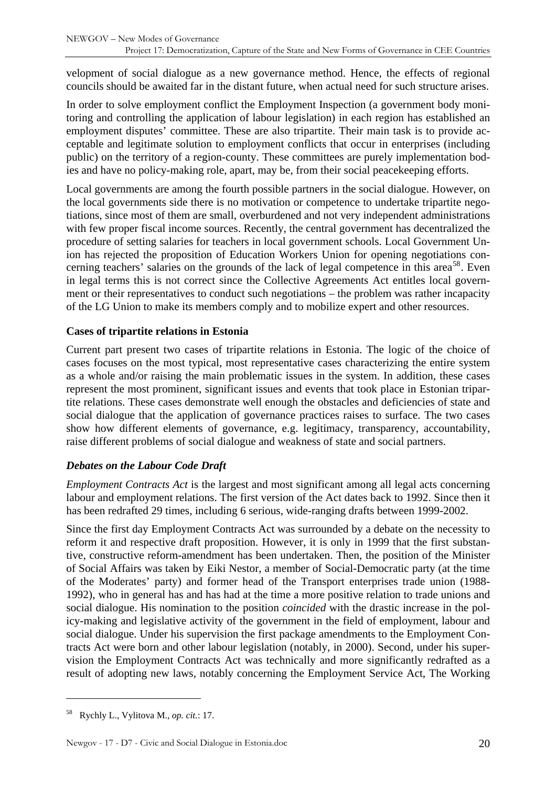<span id="page-19-0"></span>velopment of social dialogue as a new governance method. Hence, the effects of regional councils should be awaited far in the distant future, when actual need for such structure arises.

In order to solve employment conflict the Employment Inspection (a government body monitoring and controlling the application of labour legislation) in each region has established an employment disputes' committee. These are also tripartite. Their main task is to provide acceptable and legitimate solution to employment conflicts that occur in enterprises (including public) on the territory of a region-county. These committees are purely implementation bodies and have no policy-making role, apart, may be, from their social peacekeeping efforts.

Local governments are among the fourth possible partners in the social dialogue. However, on the local governments side there is no motivation or competence to undertake tripartite negotiations, since most of them are small, overburdened and not very independent administrations with few proper fiscal income sources. Recently, the central government has decentralized the procedure of setting salaries for teachers in local government schools. Local Government Union has rejected the proposition of Education Workers Union for opening negotiations con-cerning teachers' salaries on the grounds of the lack of legal competence in this area<sup>[58](#page-19-1)</sup>. Even in legal terms this is not correct since the Collective Agreements Act entitles local government or their representatives to conduct such negotiations – the problem was rather incapacity of the LG Union to make its members comply and to mobilize expert and other resources.

#### **Cases of tripartite relations in Estonia**

Current part present two cases of tripartite relations in Estonia. The logic of the choice of cases focuses on the most typical, most representative cases characterizing the entire system as a whole and/or raising the main problematic issues in the system. In addition, these cases represent the most prominent, significant issues and events that took place in Estonian tripartite relations. These cases demonstrate well enough the obstacles and deficiencies of state and social dialogue that the application of governance practices raises to surface. The two cases show how different elements of governance, e.g. legitimacy, transparency, accountability, raise different problems of social dialogue and weakness of state and social partners.

#### *Debates on the Labour Code Draft*

*Employment Contracts Act* is the largest and most significant among all legal acts concerning labour and employment relations. The first version of the Act dates back to 1992. Since then it has been redrafted 29 times, including 6 serious, wide-ranging drafts between 1999-2002.

Since the first day Employment Contracts Act was surrounded by a debate on the necessity to reform it and respective draft proposition. However, it is only in 1999 that the first substantive, constructive reform-amendment has been undertaken. Then, the position of the Minister of Social Affairs was taken by Eiki Nestor, a member of Social-Democratic party (at the time of the Moderates' party) and former head of the Transport enterprises trade union (1988- 1992), who in general has and has had at the time a more positive relation to trade unions and social dialogue. His nomination to the position *coincided* with the drastic increase in the policy-making and legislative activity of the government in the field of employment, labour and social dialogue. Under his supervision the first package amendments to the Employment Contracts Act were born and other labour legislation (notably, in 2000). Second, under his supervision the Employment Contracts Act was technically and more significantly redrafted as a result of adopting new laws, notably concerning the Employment Service Act, The Working

<span id="page-19-1"></span><sup>58</sup> Rychly L., Vylitova M., *op. cit.*: 17.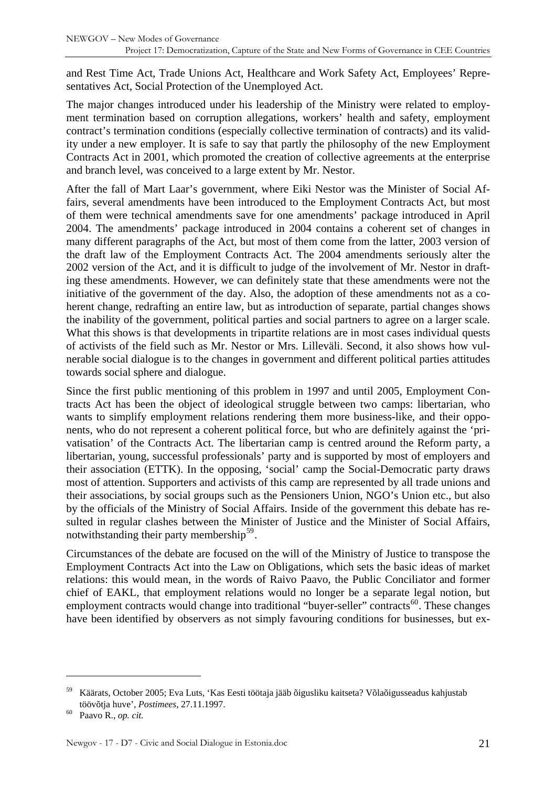and Rest Time Act, Trade Unions Act, Healthcare and Work Safety Act, Employees' Representatives Act, Social Protection of the Unemployed Act.

The major changes introduced under his leadership of the Ministry were related to employment termination based on corruption allegations, workers' health and safety, employment contract's termination conditions (especially collective termination of contracts) and its validity under a new employer. It is safe to say that partly the philosophy of the new Employment Contracts Act in 2001, which promoted the creation of collective agreements at the enterprise and branch level, was conceived to a large extent by Mr. Nestor.

After the fall of Mart Laar's government, where Eiki Nestor was the Minister of Social Affairs, several amendments have been introduced to the Employment Contracts Act, but most of them were technical amendments save for one amendments' package introduced in April 2004. The amendments' package introduced in 2004 contains a coherent set of changes in many different paragraphs of the Act, but most of them come from the latter, 2003 version of the draft law of the Employment Contracts Act. The 2004 amendments seriously alter the 2002 version of the Act, and it is difficult to judge of the involvement of Mr. Nestor in drafting these amendments. However, we can definitely state that these amendments were not the initiative of the government of the day. Also, the adoption of these amendments not as a coherent change, redrafting an entire law, but as introduction of separate, partial changes shows the inability of the government, political parties and social partners to agree on a larger scale. What this shows is that developments in tripartite relations are in most cases individual quests of activists of the field such as Mr. Nestor or Mrs. Lilleväli. Second, it also shows how vulnerable social dialogue is to the changes in government and different political parties attitudes towards social sphere and dialogue.

Since the first public mentioning of this problem in 1997 and until 2005, Employment Contracts Act has been the object of ideological struggle between two camps: libertarian, who wants to simplify employment relations rendering them more business-like, and their opponents, who do not represent a coherent political force, but who are definitely against the 'privatisation' of the Contracts Act. The libertarian camp is centred around the Reform party, a libertarian, young, successful professionals' party and is supported by most of employers and their association (ETTK). In the opposing, 'social' camp the Social-Democratic party draws most of attention. Supporters and activists of this camp are represented by all trade unions and their associations, by social groups such as the Pensioners Union, NGO's Union etc., but also by the officials of the Ministry of Social Affairs. Inside of the government this debate has resulted in regular clashes between the Minister of Justice and the Minister of Social Affairs, notwithstanding their party membership<sup>[59](#page-20-0)</sup>.

Circumstances of the debate are focused on the will of the Ministry of Justice to transpose the Employment Contracts Act into the Law on Obligations, which sets the basic ideas of market relations: this would mean, in the words of Raivo Paavo, the Public Conciliator and former chief of EAKL, that employment relations would no longer be a separate legal notion, but employment contracts would change into traditional "buyer-seller" contracts<sup>[60](#page-20-1)</sup>. These changes have been identified by observers as not simply favouring conditions for businesses, but ex-

<span id="page-20-0"></span><sup>59</sup> Käärats, October 2005; Eva Luts, 'Kas Eesti töötaja jääb õigusliku kaitseta? Võlaõigusseadus kahjustab töövõtja huve', *Postimees*, 27.11.1997. 60 Paavo R., *op. cit.*

<span id="page-20-1"></span>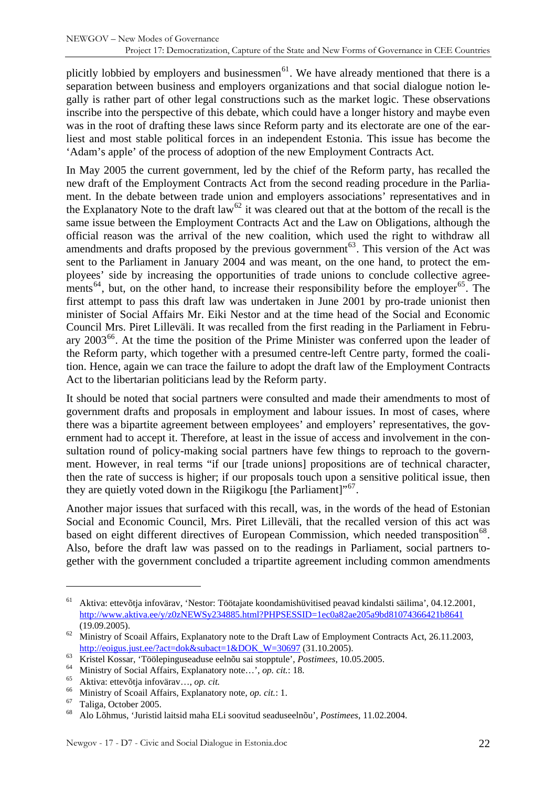plicitly lobbied by employers and businessmen<sup>[61](#page-21-0)</sup>. We have already mentioned that there is a separation between business and employers organizations and that social dialogue notion legally is rather part of other legal constructions such as the market logic. These observations inscribe into the perspective of this debate, which could have a longer history and maybe even was in the root of drafting these laws since Reform party and its electorate are one of the earliest and most stable political forces in an independent Estonia. This issue has become the 'Adam's apple' of the process of adoption of the new Employment Contracts Act.

In May 2005 the current government, led by the chief of the Reform party, has recalled the new draft of the Employment Contracts Act from the second reading procedure in the Parliament. In the debate between trade union and employers associations' representatives and in the Explanatory Note to the draft law<sup>[62](#page-21-1)</sup> it was cleared out that at the bottom of the recall is the same issue between the Employment Contracts Act and the Law on Obligations, although the official reason was the arrival of the new coalition, which used the right to withdraw all amendments and drafts proposed by the previous government<sup>[63](#page-21-2)</sup>. This version of the Act was sent to the Parliament in January 2004 and was meant, on the one hand, to protect the employees' side by increasing the opportunities of trade unions to conclude collective agree-ments<sup>[64](#page-21-3)</sup>, but, on the other hand, to increase their responsibility before the employer<sup>[65](#page-21-4)</sup>. The first attempt to pass this draft law was undertaken in June 2001 by pro-trade unionist then minister of Social Affairs Mr. Eiki Nestor and at the time head of the Social and Economic Council Mrs. Piret Lilleväli. It was recalled from the first reading in the Parliament in February  $2003^{66}$  $2003^{66}$  $2003^{66}$ . At the time the position of the Prime Minister was conferred upon the leader of the Reform party, which together with a presumed centre-left Centre party, formed the coalition. Hence, again we can trace the failure to adopt the draft law of the Employment Contracts Act to the libertarian politicians lead by the Reform party.

It should be noted that social partners were consulted and made their amendments to most of government drafts and proposals in employment and labour issues. In most of cases, where there was a bipartite agreement between employees' and employers' representatives, the government had to accept it. Therefore, at least in the issue of access and involvement in the consultation round of policy-making social partners have few things to reproach to the government. However, in real terms "if our [trade unions] propositions are of technical character, then the rate of success is higher; if our proposals touch upon a sensitive political issue, then they are quietly voted down in the Riigikogu [the Parliament] $1^{67}$  $1^{67}$  $1^{67}$ .

Another major issues that surfaced with this recall, was, in the words of the head of Estonian Social and Economic Council, Mrs. Piret Lilleväli, that the recalled version of this act was based on eight different directives of European Commission, which needed transposition<sup>[68](#page-21-7)</sup>. Also, before the draft law was passed on to the readings in Parliament, social partners together with the government concluded a tripartite agreement including common amendments

<span id="page-21-0"></span><sup>61</sup> Aktiva: ettevõtja infovärav, 'Nestor: Töötajate koondamishüvitised peavad kindalsti säilima', 04.12.2001, <http://www.aktiva.ee/y/z0zNEWSy234885.html?PHPSESSID=1ec0a82ae205a9bd81074366421b8641>

<span id="page-21-1"></span><sup>(19.09.2005). 62</sup> Ministry of Scoail Affairs, Explanatory note to the Draft Law of Employment Contracts Act, 26.11.2003,

<span id="page-21-2"></span> $\frac{\text{http://eoigus.just.ee/?act=dok&subact=1&DOK_W=30697 (31.10.2005).}{\text{Kristel Kossar, 'Töölepinguseaduse eelnõu sai stopptule', Postimees, 10.05.2005.}}$  $\frac{\text{http://eoigus.just.ee/?act=dok&subact=1&DOK_W=30697 (31.10.2005).}{\text{Kristel Kossar, 'Töölepinguseaduse eelnõu sai stopptule', Postimees, 10.05.2005.}}$  $\frac{\text{http://eoigus.just.ee/?act=dok&subact=1&DOK_W=30697 (31.10.2005).}{\text{Kristel Kossar, 'Töölepinguseaduse eelnõu sai stopptule', Postimees, 10.05.2005.}}$ Ministry of Social Affairs, Explanatory note..., *op. cit.*: 18.<br>
<sup>65</sup> Ministry of Social Affairs, Explanatory note..., *o* 

<span id="page-21-3"></span>

<span id="page-21-6"></span><span id="page-21-5"></span><span id="page-21-4"></span><sup>66</sup> Ministry of Scoail Affairs, Explanatory note, *op. cit.*: 1. 67 Taliga, October 2005.

<span id="page-21-7"></span><sup>68</sup> Alo Lõhmus, 'Juristid laitsid maha ELi soovitud seaduseelnõu', *Postimees*, 11.02.2004.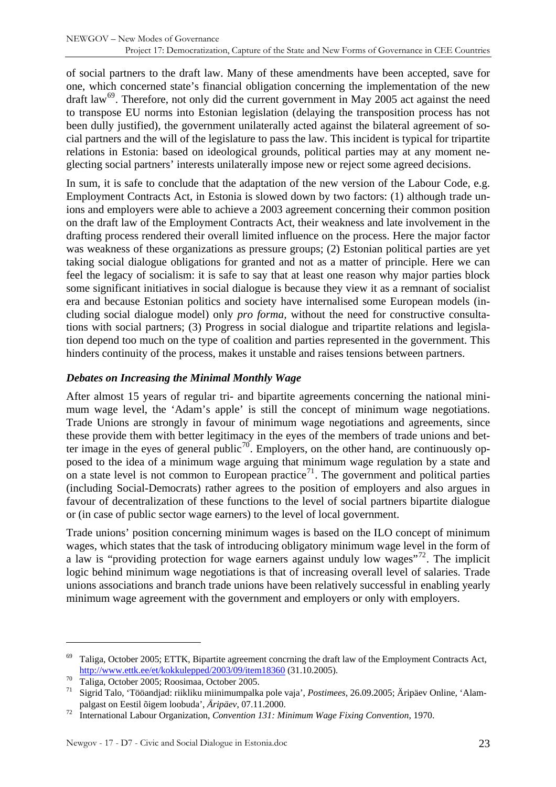<span id="page-22-0"></span>of social partners to the draft law. Many of these amendments have been accepted, save for one, which concerned state's financial obligation concerning the implementation of the new draft law<sup>[69](#page-22-1)</sup>. Therefore, not only did the current government in May 2005 act against the need to transpose EU norms into Estonian legislation (delaying the transposition process has not been dully justified), the government unilaterally acted against the bilateral agreement of social partners and the will of the legislature to pass the law. This incident is typical for tripartite relations in Estonia: based on ideological grounds, political parties may at any moment neglecting social partners' interests unilaterally impose new or reject some agreed decisions.

In sum, it is safe to conclude that the adaptation of the new version of the Labour Code, e.g. Employment Contracts Act, in Estonia is slowed down by two factors: (1) although trade unions and employers were able to achieve a 2003 agreement concerning their common position on the draft law of the Employment Contracts Act, their weakness and late involvement in the drafting process rendered their overall limited influence on the process. Here the major factor was weakness of these organizations as pressure groups; (2) Estonian political parties are yet taking social dialogue obligations for granted and not as a matter of principle. Here we can feel the legacy of socialism: it is safe to say that at least one reason why major parties block some significant initiatives in social dialogue is because they view it as a remnant of socialist era and because Estonian politics and society have internalised some European models (including social dialogue model) only *pro forma,* without the need for constructive consultations with social partners; (3) Progress in social dialogue and tripartite relations and legislation depend too much on the type of coalition and parties represented in the government. This hinders continuity of the process, makes it unstable and raises tensions between partners.

#### *Debates on Increasing the Minimal Monthly Wage*

After almost 15 years of regular tri- and bipartite agreements concerning the national minimum wage level, the 'Adam's apple' is still the concept of minimum wage negotiations. Trade Unions are strongly in favour of minimum wage negotiations and agreements, since these provide them with better legitimacy in the eyes of the members of trade unions and bet-ter image in the eyes of general public<sup>[70](#page-22-2)</sup>. Employers, on the other hand, are continuously opposed to the idea of a minimum wage arguing that minimum wage regulation by a state and on a state level is not common to European practice<sup>[71](#page-22-3)</sup>. The government and political parties (including Social-Democrats) rather agrees to the position of employers and also argues in favour of decentralization of these functions to the level of social partners bipartite dialogue or (in case of public sector wage earners) to the level of local government.

Trade unions' position concerning minimum wages is based on the ILO concept of minimum wages, which states that the task of introducing obligatory minimum wage level in the form of a law is "providing protection for wage earners against unduly low wages"<sup>[72](#page-22-4)</sup>. The implicit logic behind minimum wage negotiations is that of increasing overall level of salaries. Trade unions associations and branch trade unions have been relatively successful in enabling yearly minimum wage agreement with the government and employers or only with employers.

<span id="page-22-1"></span><sup>69</sup> Taliga, October 2005; ETTK, Bipartite agreement concrning the draft law of the Employment Contracts Act, <http://www.ettk.ee/et/kokkulepped/2003/09/item18360> (31.10.2005).<br>Taliga, October 2005; Roosimaa, October 2005.<br><sup>71</sup> Sierid Tele. Tääendiedu riiliku miinimumeelke pele vais? *Peetine*.

<span id="page-22-2"></span>

<sup>71</sup> Sigrid Talo, 'Tööandjad: riikliku miinimumpalka pole vaja', *Postimees*, 26.09.2005; Äripäev Online, 'Alam-

<span id="page-22-4"></span><span id="page-22-3"></span>palgast on Eestil õigem loobuda', *Äripäev*, 07.11.2000. 72 International Labour Organization, *Convention 131: Minimum Wage Fixing Convention*, 1970.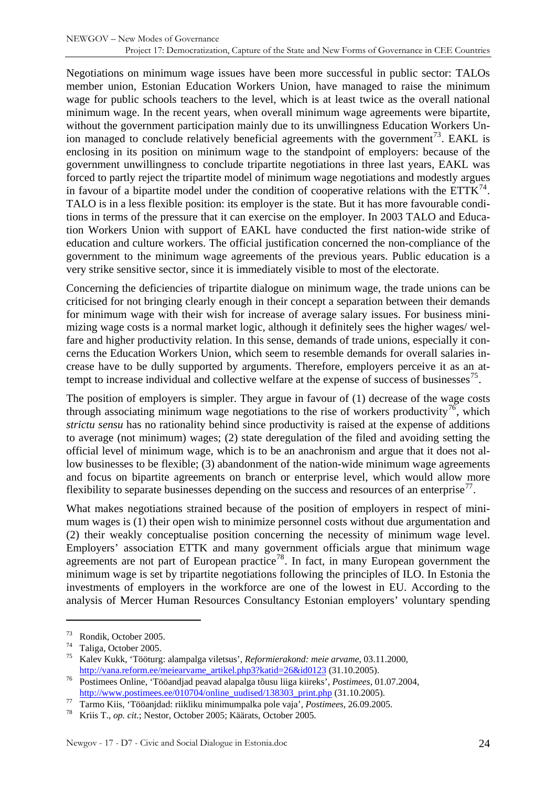Negotiations on minimum wage issues have been more successful in public sector: TALOs member union, Estonian Education Workers Union, have managed to raise the minimum wage for public schools teachers to the level, which is at least twice as the overall national minimum wage. In the recent years, when overall minimum wage agreements were bipartite, without the government participation mainly due to its unwillingness Education Workers Un-ion managed to conclude relatively beneficial agreements with the government<sup>[73](#page-23-0)</sup>. EAKL is enclosing in its position on minimum wage to the standpoint of employers: because of the government unwillingness to conclude tripartite negotiations in three last years, EAKL was forced to partly reject the tripartite model of minimum wage negotiations and modestly argues in favour of a bipartite model under the condition of cooperative relations with the  $ETTK<sup>74</sup>$  $ETTK<sup>74</sup>$  $ETTK<sup>74</sup>$ . TALO is in a less flexible position: its employer is the state. But it has more favourable conditions in terms of the pressure that it can exercise on the employer. In 2003 TALO and Education Workers Union with support of EAKL have conducted the first nation-wide strike of education and culture workers. The official justification concerned the non-compliance of the government to the minimum wage agreements of the previous years. Public education is a very strike sensitive sector, since it is immediately visible to most of the electorate.

Concerning the deficiencies of tripartite dialogue on minimum wage, the trade unions can be criticised for not bringing clearly enough in their concept a separation between their demands for minimum wage with their wish for increase of average salary issues. For business minimizing wage costs is a normal market logic, although it definitely sees the higher wages/ welfare and higher productivity relation. In this sense, demands of trade unions, especially it concerns the Education Workers Union, which seem to resemble demands for overall salaries increase have to be dully supported by arguments. Therefore, employers perceive it as an at-tempt to increase individual and collective welfare at the expense of success of businesses<sup>[75](#page-23-2)</sup>.

The position of employers is simpler. They argue in favour of (1) decrease of the wage costs through associating minimum wage negotiations to the rise of workers productivity<sup>[76](#page-23-3)</sup>, which *strictu sensu* has no rationality behind since productivity is raised at the expense of additions to average (not minimum) wages; (2) state deregulation of the filed and avoiding setting the official level of minimum wage, which is to be an anachronism and argue that it does not allow businesses to be flexible; (3) abandonment of the nation-wide minimum wage agreements and focus on bipartite agreements on branch or enterprise level, which would allow more flexibility to separate businesses depending on the success and resources of an enterprise<sup>[77](#page-23-4)</sup>.

What makes negotiations strained because of the position of employers in respect of minimum wages is (1) their open wish to minimize personnel costs without due argumentation and (2) their weakly conceptualise position concerning the necessity of minimum wage level. Employers' association ETTK and many government officials argue that minimum wage agreements are not part of European practice<sup>[78](#page-23-5)</sup>. In fact, in many European government the minimum wage is set by tripartite negotiations following the principles of ILO. In Estonia the investments of employers in the workforce are one of the lowest in EU. According to the analysis of Mercer Human Resources Consultancy Estonian employers' voluntary spending

<span id="page-23-0"></span> $\frac{73}{74}$  Rondik, October 2005.

Taliga, October 2005.

<span id="page-23-2"></span><span id="page-23-1"></span><sup>75</sup> Kalev Kukk, 'Tööturg: alampalga viletsus', *Reformierakond: meie arvame*, 03.11.2000, [http://vana.reform.ee/meiearvame\\_artikel.php3?katid=26&id0123](http://vana.reform.ee/meiearvame_artikel.php3?katid=26&id0123) (31.10.2005). 76 Postimees Online, 'Tööandjad peavad alapalga tõusu liiga kiireks', *Postimees*, 01.07.2004,

<span id="page-23-3"></span>[http://www.postimees.ee/010704/online\\_uudised/138303\\_print.php](http://www.postimees.ee/010704/online_uudised/138303_print.php) (31.10.2005).<br>Tarmo Kiis, 'Tööanjdad: riikliku minimumpalka pole vaja', *Postimees*, 26.09.2005.<br>Kriis T., *op. cit*.; Nestor, October 2005; Käärats, October 2

<span id="page-23-4"></span>

<span id="page-23-5"></span>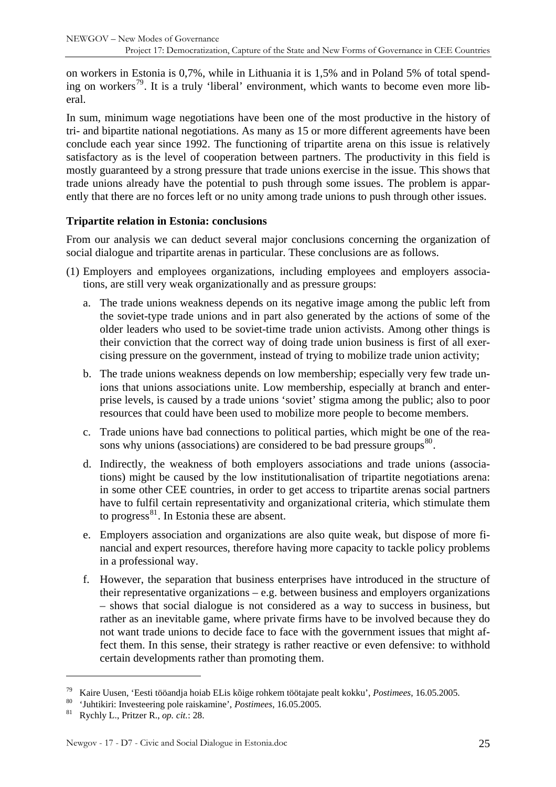<span id="page-24-0"></span>on workers in Estonia is 0,7%, while in Lithuania it is 1,5% and in Poland 5% of total spend-ing on workers<sup>[79](#page-24-1)</sup>. It is a truly 'liberal' environment, which wants to become even more liberal.

In sum, minimum wage negotiations have been one of the most productive in the history of tri- and bipartite national negotiations. As many as 15 or more different agreements have been conclude each year since 1992. The functioning of tripartite arena on this issue is relatively satisfactory as is the level of cooperation between partners. The productivity in this field is mostly guaranteed by a strong pressure that trade unions exercise in the issue. This shows that trade unions already have the potential to push through some issues. The problem is apparently that there are no forces left or no unity among trade unions to push through other issues.

#### **Tripartite relation in Estonia: conclusions**

From our analysis we can deduct several major conclusions concerning the organization of social dialogue and tripartite arenas in particular. These conclusions are as follows.

- (1) Employers and employees organizations, including employees and employers associations, are still very weak organizationally and as pressure groups:
	- a. The trade unions weakness depends on its negative image among the public left from the soviet-type trade unions and in part also generated by the actions of some of the older leaders who used to be soviet-time trade union activists. Among other things is their conviction that the correct way of doing trade union business is first of all exercising pressure on the government, instead of trying to mobilize trade union activity;
	- b. The trade unions weakness depends on low membership; especially very few trade unions that unions associations unite. Low membership, especially at branch and enterprise levels, is caused by a trade unions 'soviet' stigma among the public; also to poor resources that could have been used to mobilize more people to become members.
	- c. Trade unions have bad connections to political parties, which might be one of the rea-sons why unions (associations) are considered to be bad pressure groups<sup>[80](#page-24-2)</sup>.
	- d. Indirectly, the weakness of both employers associations and trade unions (associations) might be caused by the low institutionalisation of tripartite negotiations arena: in some other CEE countries, in order to get access to tripartite arenas social partners have to fulfil certain representativity and organizational criteria, which stimulate them to progress $^{81}$  $^{81}$  $^{81}$ . In Estonia these are absent.
	- e. Employers association and organizations are also quite weak, but dispose of more financial and expert resources, therefore having more capacity to tackle policy problems in a professional way.
	- f. However, the separation that business enterprises have introduced in the structure of their representative organizations – e.g. between business and employers organizations – shows that social dialogue is not considered as a way to success in business, but rather as an inevitable game, where private firms have to be involved because they do not want trade unions to decide face to face with the government issues that might affect them. In this sense, their strategy is rather reactive or even defensive: to withhold certain developments rather than promoting them.

<span id="page-24-1"></span><sup>&</sup>lt;sup>79</sup> Kaire Uusen, 'Eesti tööandja hoiab ELis kõige rohkem töötajate pealt kokku', *Postimees*, 16.05.2005.<br><sup>80</sup> 'Juhtikiri: Investeering pole raiskamine', *Postimees*, 16.05.2005.<br><sup>81</sup> Rychly L., Pritzer R., *op. cit.*: 2

<span id="page-24-2"></span>

<span id="page-24-3"></span>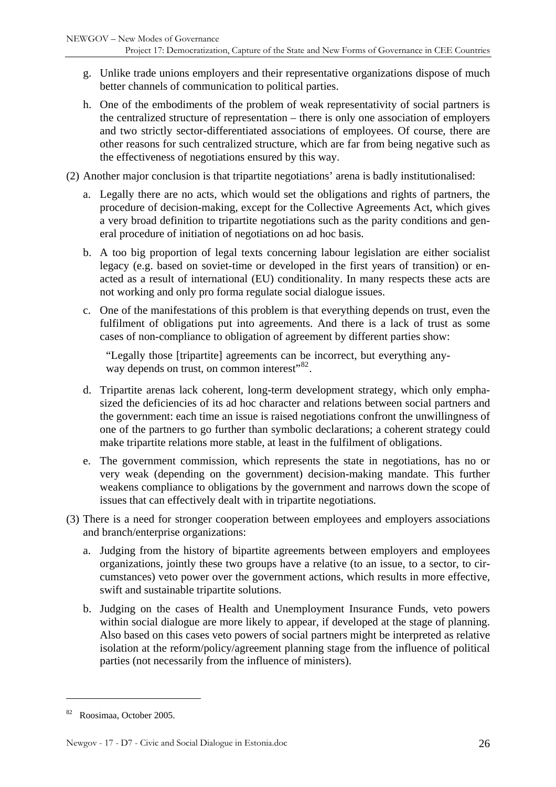- g. Unlike trade unions employers and their representative organizations dispose of much better channels of communication to political parties.
- h. One of the embodiments of the problem of weak representativity of social partners is the centralized structure of representation – there is only one association of employers and two strictly sector-differentiated associations of employees. Of course, there are other reasons for such centralized structure, which are far from being negative such as the effectiveness of negotiations ensured by this way.
- (2) Another major conclusion is that tripartite negotiations' arena is badly institutionalised:
	- a. Legally there are no acts, which would set the obligations and rights of partners, the procedure of decision-making, except for the Collective Agreements Act, which gives a very broad definition to tripartite negotiations such as the parity conditions and general procedure of initiation of negotiations on ad hoc basis.
	- b. A too big proportion of legal texts concerning labour legislation are either socialist legacy (e.g. based on soviet-time or developed in the first years of transition) or enacted as a result of international (EU) conditionality. In many respects these acts are not working and only pro forma regulate social dialogue issues.
	- c. One of the manifestations of this problem is that everything depends on trust, even the fulfilment of obligations put into agreements. And there is a lack of trust as some cases of non-compliance to obligation of agreement by different parties show:

"Legally those [tripartite] agreements can be incorrect, but everything any-way depends on trust, on common interest"<sup>[82](#page-25-0)</sup>.

- d. Tripartite arenas lack coherent, long-term development strategy, which only emphasized the deficiencies of its ad hoc character and relations between social partners and the government: each time an issue is raised negotiations confront the unwillingness of one of the partners to go further than symbolic declarations; a coherent strategy could make tripartite relations more stable, at least in the fulfilment of obligations.
- e. The government commission, which represents the state in negotiations, has no or very weak (depending on the government) decision-making mandate. This further weakens compliance to obligations by the government and narrows down the scope of issues that can effectively dealt with in tripartite negotiations.
- (3) There is a need for stronger cooperation between employees and employers associations and branch/enterprise organizations:
	- a. Judging from the history of bipartite agreements between employers and employees organizations, jointly these two groups have a relative (to an issue, to a sector, to circumstances) veto power over the government actions, which results in more effective, swift and sustainable tripartite solutions.
	- b. Judging on the cases of Health and Unemployment Insurance Funds, veto powers within social dialogue are more likely to appear, if developed at the stage of planning. Also based on this cases veto powers of social partners might be interpreted as relative isolation at the reform/policy/agreement planning stage from the influence of political parties (not necessarily from the influence of ministers).

<span id="page-25-0"></span><sup>82</sup> Roosimaa, October 2005.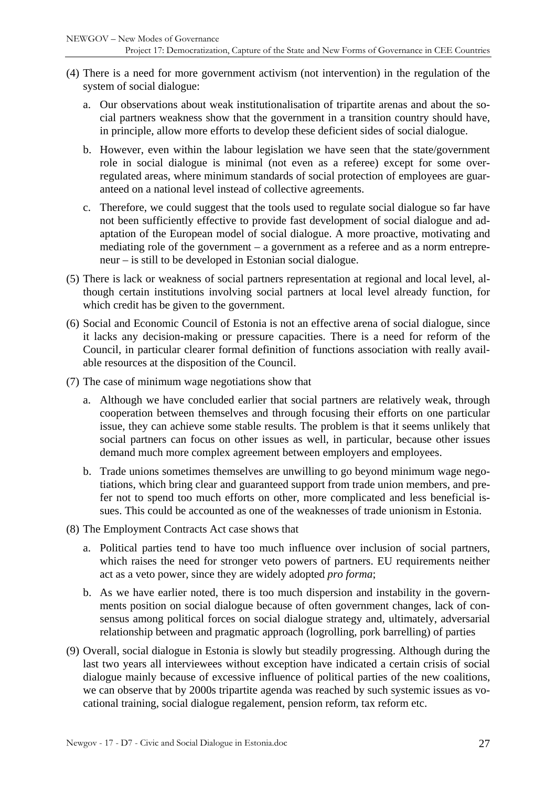- (4) There is a need for more government activism (not intervention) in the regulation of the system of social dialogue:
	- a. Our observations about weak institutionalisation of tripartite arenas and about the social partners weakness show that the government in a transition country should have, in principle, allow more efforts to develop these deficient sides of social dialogue.
	- b. However, even within the labour legislation we have seen that the state/government role in social dialogue is minimal (not even as a referee) except for some overregulated areas, where minimum standards of social protection of employees are guaranteed on a national level instead of collective agreements.
	- c. Therefore, we could suggest that the tools used to regulate social dialogue so far have not been sufficiently effective to provide fast development of social dialogue and adaptation of the European model of social dialogue. A more proactive, motivating and mediating role of the government – a government as a referee and as a norm entrepreneur – is still to be developed in Estonian social dialogue.
- (5) There is lack or weakness of social partners representation at regional and local level, although certain institutions involving social partners at local level already function, for which credit has be given to the government.
- (6) Social and Economic Council of Estonia is not an effective arena of social dialogue, since it lacks any decision-making or pressure capacities. There is a need for reform of the Council, in particular clearer formal definition of functions association with really available resources at the disposition of the Council.
- (7) The case of minimum wage negotiations show that
	- a. Although we have concluded earlier that social partners are relatively weak, through cooperation between themselves and through focusing their efforts on one particular issue, they can achieve some stable results. The problem is that it seems unlikely that social partners can focus on other issues as well, in particular, because other issues demand much more complex agreement between employers and employees.
	- b. Trade unions sometimes themselves are unwilling to go beyond minimum wage negotiations, which bring clear and guaranteed support from trade union members, and prefer not to spend too much efforts on other, more complicated and less beneficial issues. This could be accounted as one of the weaknesses of trade unionism in Estonia.
- (8) The Employment Contracts Act case shows that
	- a. Political parties tend to have too much influence over inclusion of social partners, which raises the need for stronger veto powers of partners. EU requirements neither act as a veto power, since they are widely adopted *pro forma*;
	- b. As we have earlier noted, there is too much dispersion and instability in the governments position on social dialogue because of often government changes, lack of consensus among political forces on social dialogue strategy and, ultimately, adversarial relationship between and pragmatic approach (logrolling, pork barrelling) of parties
- (9) Overall, social dialogue in Estonia is slowly but steadily progressing. Although during the last two years all interviewees without exception have indicated a certain crisis of social dialogue mainly because of excessive influence of political parties of the new coalitions, we can observe that by 2000s tripartite agenda was reached by such systemic issues as vocational training, social dialogue regalement, pension reform, tax reform etc.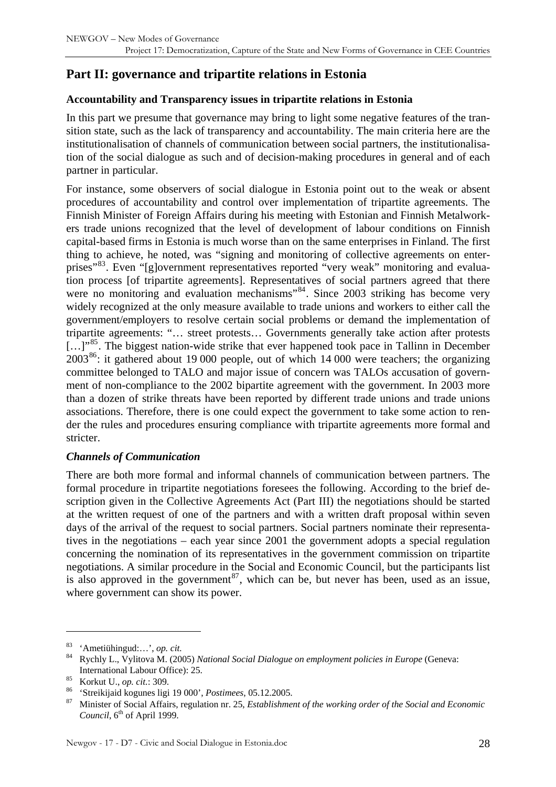## <span id="page-27-0"></span>**Part II: governance and tripartite relations in Estonia**

#### **Accountability and Transparency issues in tripartite relations in Estonia**

In this part we presume that governance may bring to light some negative features of the transition state, such as the lack of transparency and accountability. The main criteria here are the institutionalisation of channels of communication between social partners, the institutionalisation of the social dialogue as such and of decision-making procedures in general and of each partner in particular.

For instance, some observers of social dialogue in Estonia point out to the weak or absent procedures of accountability and control over implementation of tripartite agreements. The Finnish Minister of Foreign Affairs during his meeting with Estonian and Finnish Metalworkers trade unions recognized that the level of development of labour conditions on Finnish capital-based firms in Estonia is much worse than on the same enterprises in Finland. The first thing to achieve, he noted, was "signing and monitoring of collective agreements on enter-prises"<sup>[83](#page-27-1)</sup>. Even "[g]overnment representatives reported "very weak" monitoring and evaluation process [of tripartite agreements]. Representatives of social partners agreed that there were no monitoring and evaluation mechanisms<sup>3[84](#page-27-2)</sup>. Since 2003 striking has become very widely recognized at the only measure available to trade unions and workers to either call the government/employers to resolve certain social problems or demand the implementation of tripartite agreements: "… street protests… Governments generally take action after protests [...]<sup>[85](#page-27-3)</sup>. The biggest nation-wide strike that ever happened took pace in Tallinn in December  $2003^{86}$ : it gathered about 19 000 people, out of which 14 000 were teachers; the organizing committee belonged to TALO and major issue of concern was TALOs accusation of government of non-compliance to the 2002 bipartite agreement with the government. In 2003 more than a dozen of strike threats have been reported by different trade unions and trade unions associations. Therefore, there is one could expect the government to take some action to render the rules and procedures ensuring compliance with tripartite agreements more formal and stricter.

#### *Channels of Communication*

There are both more formal and informal channels of communication between partners. The formal procedure in tripartite negotiations foresees the following. According to the brief description given in the Collective Agreements Act (Part III) the negotiations should be started at the written request of one of the partners and with a written draft proposal within seven days of the arrival of the request to social partners. Social partners nominate their representatives in the negotiations – each year since 2001 the government adopts a special regulation concerning the nomination of its representatives in the government commission on tripartite negotiations. A similar procedure in the Social and Economic Council, but the participants list is also approved in the government<sup>[87](#page-27-5)</sup>, which can be, but never has been, used as an issue, where government can show its power.

<span id="page-27-1"></span><sup>83 &#</sup>x27;Ametiühingud:…', *op. cit.*

<span id="page-27-2"></span><sup>84</sup> Rychly L., Vylitova M. (2005) *National Social Dialogue on employment policies in Europe* (Geneva: International Labour Office): 25.<br>
<sup>85</sup> Korkut U., *op. cit.*: 309.<br>
<sup>86</sup> 'Streikijaid kogunes ligi 19 000', *Postimees*, 05.12.2005.<br>
<sup>87</sup> Minister of Social Affairs, regulation nr. 25, *Establishment of the working order* 

<span id="page-27-3"></span>

<span id="page-27-4"></span>

<span id="page-27-5"></span>*Council*,  $6<sup>th</sup>$  of April 1999.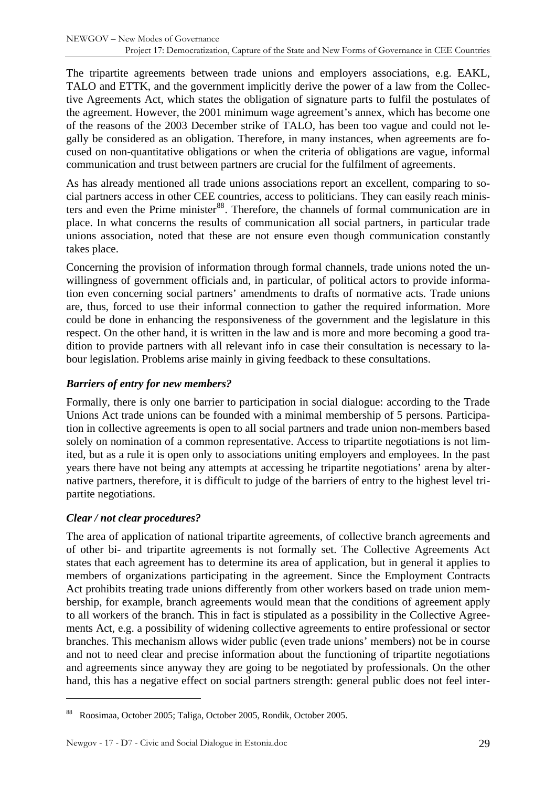<span id="page-28-0"></span>The tripartite agreements between trade unions and employers associations, e.g. EAKL, TALO and ETTK, and the government implicitly derive the power of a law from the Collective Agreements Act, which states the obligation of signature parts to fulfil the postulates of the agreement. However, the 2001 minimum wage agreement's annex, which has become one of the reasons of the 2003 December strike of TALO, has been too vague and could not legally be considered as an obligation. Therefore, in many instances, when agreements are focused on non-quantitative obligations or when the criteria of obligations are vague, informal communication and trust between partners are crucial for the fulfilment of agreements.

As has already mentioned all trade unions associations report an excellent, comparing to social partners access in other CEE countries, access to politicians. They can easily reach minis-ters and even the Prime minister<sup>[88](#page-28-1)</sup>. Therefore, the channels of formal communication are in place. In what concerns the results of communication all social partners, in particular trade unions association, noted that these are not ensure even though communication constantly takes place.

Concerning the provision of information through formal channels, trade unions noted the unwillingness of government officials and, in particular, of political actors to provide information even concerning social partners' amendments to drafts of normative acts. Trade unions are, thus, forced to use their informal connection to gather the required information. More could be done in enhancing the responsiveness of the government and the legislature in this respect. On the other hand, it is written in the law and is more and more becoming a good tradition to provide partners with all relevant info in case their consultation is necessary to labour legislation. Problems arise mainly in giving feedback to these consultations.

#### *Barriers of entry for new members?*

Formally, there is only one barrier to participation in social dialogue: according to the Trade Unions Act trade unions can be founded with a minimal membership of 5 persons. Participation in collective agreements is open to all social partners and trade union non-members based solely on nomination of a common representative. Access to tripartite negotiations is not limited, but as a rule it is open only to associations uniting employers and employees. In the past years there have not being any attempts at accessing he tripartite negotiations' arena by alternative partners, therefore, it is difficult to judge of the barriers of entry to the highest level tripartite negotiations.

#### *Clear / not clear procedures?*

 $\overline{a}$ 

The area of application of national tripartite agreements, of collective branch agreements and of other bi- and tripartite agreements is not formally set. The Collective Agreements Act states that each agreement has to determine its area of application, but in general it applies to members of organizations participating in the agreement. Since the Employment Contracts Act prohibits treating trade unions differently from other workers based on trade union membership, for example, branch agreements would mean that the conditions of agreement apply to all workers of the branch. This in fact is stipulated as a possibility in the Collective Agreements Act, e.g. a possibility of widening collective agreements to entire professional or sector branches. This mechanism allows wider public (even trade unions' members) not be in course and not to need clear and precise information about the functioning of tripartite negotiations and agreements since anyway they are going to be negotiated by professionals. On the other hand, this has a negative effect on social partners strength: general public does not feel inter-

<span id="page-28-1"></span><sup>88</sup> Roosimaa, October 2005; Taliga, October 2005, Rondik, October 2005.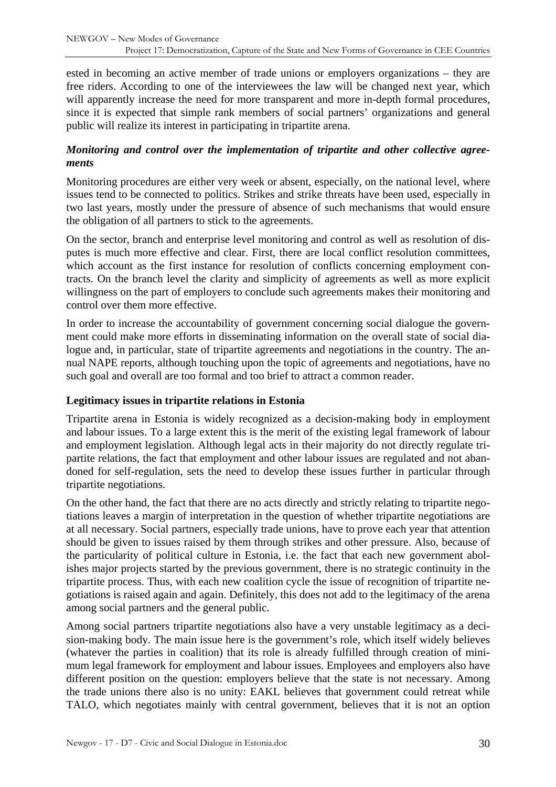<span id="page-29-0"></span>ested in becoming an active member of trade unions or employers organizations – they are free riders. According to one of the interviewees the law will be changed next year, which will apparently increase the need for more transparent and more in-depth formal procedures, since it is expected that simple rank members of social partners' organizations and general public will realize its interest in participating in tripartite arena.

#### *Monitoring and control over the implementation of tripartite and other collective agreements*

Monitoring procedures are either very week or absent, especially, on the national level, where issues tend to be connected to politics. Strikes and strike threats have been used, especially in two last years, mostly under the pressure of absence of such mechanisms that would ensure the obligation of all partners to stick to the agreements.

On the sector, branch and enterprise level monitoring and control as well as resolution of disputes is much more effective and clear. First, there are local conflict resolution committees, which account as the first instance for resolution of conflicts concerning employment contracts. On the branch level the clarity and simplicity of agreements as well as more explicit willingness on the part of employers to conclude such agreements makes their monitoring and control over them more effective.

In order to increase the accountability of government concerning social dialogue the government could make more efforts in disseminating information on the overall state of social dialogue and, in particular, state of tripartite agreements and negotiations in the country. The annual NAPE reports, although touching upon the topic of agreements and negotiations, have no such goal and overall are too formal and too brief to attract a common reader.

#### **Legitimacy issues in tripartite relations in Estonia**

Tripartite arena in Estonia is widely recognized as a decision-making body in employment and labour issues. To a large extent this is the merit of the existing legal framework of labour and employment legislation. Although legal acts in their majority do not directly regulate tripartite relations, the fact that employment and other labour issues are regulated and not abandoned for self-regulation, sets the need to develop these issues further in particular through tripartite negotiations.

On the other hand, the fact that there are no acts directly and strictly relating to tripartite negotiations leaves a margin of interpretation in the question of whether tripartite negotiations are at all necessary. Social partners, especially trade unions, have to prove each year that attention should be given to issues raised by them through strikes and other pressure. Also, because of the particularity of political culture in Estonia, i.e. the fact that each new government abolishes major projects started by the previous government, there is no strategic continuity in the tripartite process. Thus, with each new coalition cycle the issue of recognition of tripartite negotiations is raised again and again. Definitely, this does not add to the legitimacy of the arena among social partners and the general public.

Among social partners tripartite negotiations also have a very unstable legitimacy as a decision-making body. The main issue here is the government's role, which itself widely believes (whatever the parties in coalition) that its role is already fulfilled through creation of minimum legal framework for employment and labour issues. Employees and employers also have different position on the question: employers believe that the state is not necessary. Among the trade unions there also is no unity: EAKL believes that government could retreat while TALO, which negotiates mainly with central government, believes that it is not an option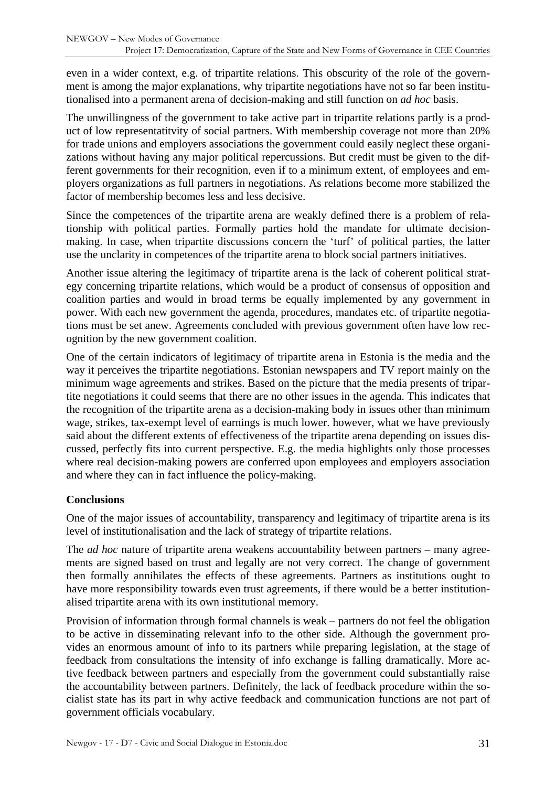<span id="page-30-0"></span>even in a wider context, e.g. of tripartite relations. This obscurity of the role of the government is among the major explanations, why tripartite negotiations have not so far been institutionalised into a permanent arena of decision-making and still function on *ad hoc* basis.

The unwillingness of the government to take active part in tripartite relations partly is a product of low representatitvity of social partners. With membership coverage not more than 20% for trade unions and employers associations the government could easily neglect these organizations without having any major political repercussions. But credit must be given to the different governments for their recognition, even if to a minimum extent, of employees and employers organizations as full partners in negotiations. As relations become more stabilized the factor of membership becomes less and less decisive.

Since the competences of the tripartite arena are weakly defined there is a problem of relationship with political parties. Formally parties hold the mandate for ultimate decisionmaking. In case, when tripartite discussions concern the 'turf' of political parties, the latter use the unclarity in competences of the tripartite arena to block social partners initiatives.

Another issue altering the legitimacy of tripartite arena is the lack of coherent political strategy concerning tripartite relations, which would be a product of consensus of opposition and coalition parties and would in broad terms be equally implemented by any government in power. With each new government the agenda, procedures, mandates etc. of tripartite negotiations must be set anew. Agreements concluded with previous government often have low recognition by the new government coalition.

One of the certain indicators of legitimacy of tripartite arena in Estonia is the media and the way it perceives the tripartite negotiations. Estonian newspapers and TV report mainly on the minimum wage agreements and strikes. Based on the picture that the media presents of tripartite negotiations it could seems that there are no other issues in the agenda. This indicates that the recognition of the tripartite arena as a decision-making body in issues other than minimum wage, strikes, tax-exempt level of earnings is much lower. however, what we have previously said about the different extents of effectiveness of the tripartite arena depending on issues discussed, perfectly fits into current perspective. E.g. the media highlights only those processes where real decision-making powers are conferred upon employees and employers association and where they can in fact influence the policy-making.

#### **Conclusions**

One of the major issues of accountability, transparency and legitimacy of tripartite arena is its level of institutionalisation and the lack of strategy of tripartite relations.

The *ad hoc* nature of tripartite arena weakens accountability between partners – many agreements are signed based on trust and legally are not very correct. The change of government then formally annihilates the effects of these agreements. Partners as institutions ought to have more responsibility towards even trust agreements, if there would be a better institutionalised tripartite arena with its own institutional memory.

Provision of information through formal channels is weak – partners do not feel the obligation to be active in disseminating relevant info to the other side. Although the government provides an enormous amount of info to its partners while preparing legislation, at the stage of feedback from consultations the intensity of info exchange is falling dramatically. More active feedback between partners and especially from the government could substantially raise the accountability between partners. Definitely, the lack of feedback procedure within the socialist state has its part in why active feedback and communication functions are not part of government officials vocabulary.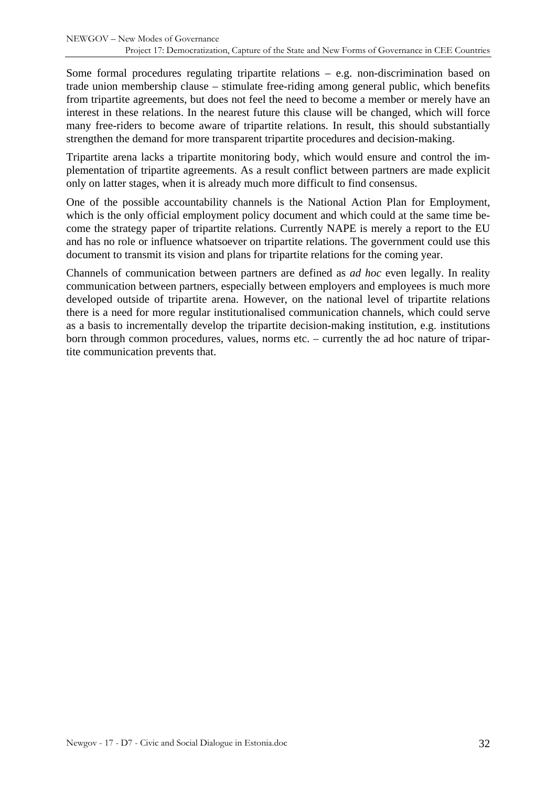Some formal procedures regulating tripartite relations – e.g. non-discrimination based on trade union membership clause – stimulate free-riding among general public, which benefits from tripartite agreements, but does not feel the need to become a member or merely have an interest in these relations. In the nearest future this clause will be changed, which will force many free-riders to become aware of tripartite relations. In result, this should substantially strengthen the demand for more transparent tripartite procedures and decision-making.

Tripartite arena lacks a tripartite monitoring body, which would ensure and control the implementation of tripartite agreements. As a result conflict between partners are made explicit only on latter stages, when it is already much more difficult to find consensus.

One of the possible accountability channels is the National Action Plan for Employment, which is the only official employment policy document and which could at the same time become the strategy paper of tripartite relations. Currently NAPE is merely a report to the EU and has no role or influence whatsoever on tripartite relations. The government could use this document to transmit its vision and plans for tripartite relations for the coming year.

Channels of communication between partners are defined as *ad hoc* even legally. In reality communication between partners, especially between employers and employees is much more developed outside of tripartite arena. However, on the national level of tripartite relations there is a need for more regular institutionalised communication channels, which could serve as a basis to incrementally develop the tripartite decision-making institution, e.g. institutions born through common procedures, values, norms etc. – currently the ad hoc nature of tripartite communication prevents that.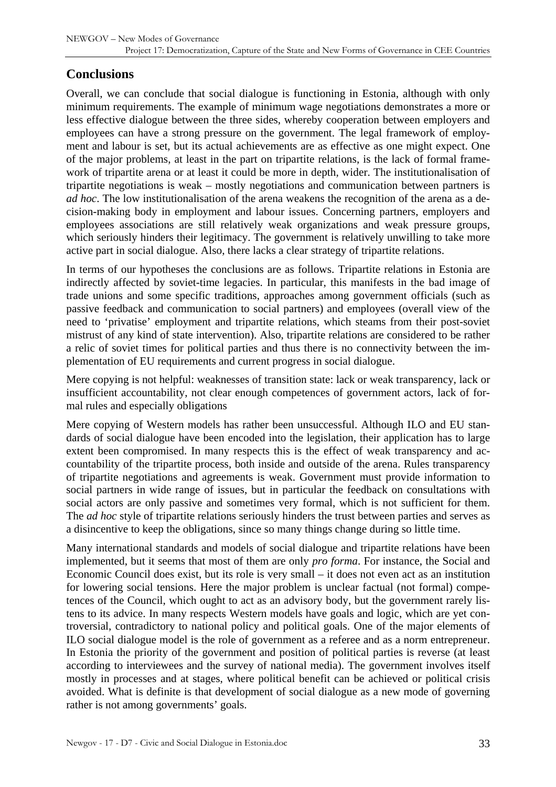## <span id="page-32-0"></span>**Conclusions**

Overall, we can conclude that social dialogue is functioning in Estonia, although with only minimum requirements. The example of minimum wage negotiations demonstrates a more or less effective dialogue between the three sides, whereby cooperation between employers and employees can have a strong pressure on the government. The legal framework of employment and labour is set, but its actual achievements are as effective as one might expect. One of the major problems, at least in the part on tripartite relations, is the lack of formal framework of tripartite arena or at least it could be more in depth, wider. The institutionalisation of tripartite negotiations is weak – mostly negotiations and communication between partners is *ad hoc*. The low institutionalisation of the arena weakens the recognition of the arena as a decision-making body in employment and labour issues. Concerning partners, employers and employees associations are still relatively weak organizations and weak pressure groups, which seriously hinders their legitimacy. The government is relatively unwilling to take more active part in social dialogue. Also, there lacks a clear strategy of tripartite relations.

In terms of our hypotheses the conclusions are as follows. Tripartite relations in Estonia are indirectly affected by soviet-time legacies. In particular, this manifests in the bad image of trade unions and some specific traditions, approaches among government officials (such as passive feedback and communication to social partners) and employees (overall view of the need to 'privatise' employment and tripartite relations, which steams from their post-soviet mistrust of any kind of state intervention). Also, tripartite relations are considered to be rather a relic of soviet times for political parties and thus there is no connectivity between the implementation of EU requirements and current progress in social dialogue.

Mere copying is not helpful: weaknesses of transition state: lack or weak transparency, lack or insufficient accountability, not clear enough competences of government actors, lack of formal rules and especially obligations

Mere copying of Western models has rather been unsuccessful. Although ILO and EU standards of social dialogue have been encoded into the legislation, their application has to large extent been compromised. In many respects this is the effect of weak transparency and accountability of the tripartite process, both inside and outside of the arena. Rules transparency of tripartite negotiations and agreements is weak. Government must provide information to social partners in wide range of issues, but in particular the feedback on consultations with social actors are only passive and sometimes very formal, which is not sufficient for them. The *ad hoc* style of tripartite relations seriously hinders the trust between parties and serves as a disincentive to keep the obligations, since so many things change during so little time.

Many international standards and models of social dialogue and tripartite relations have been implemented, but it seems that most of them are only *pro forma*. For instance, the Social and Economic Council does exist, but its role is very small – it does not even act as an institution for lowering social tensions. Here the major problem is unclear factual (not formal) competences of the Council, which ought to act as an advisory body, but the government rarely listens to its advice. In many respects Western models have goals and logic, which are yet controversial, contradictory to national policy and political goals. One of the major elements of ILO social dialogue model is the role of government as a referee and as a norm entrepreneur. In Estonia the priority of the government and position of political parties is reverse (at least according to interviewees and the survey of national media). The government involves itself mostly in processes and at stages, where political benefit can be achieved or political crisis avoided. What is definite is that development of social dialogue as a new mode of governing rather is not among governments' goals.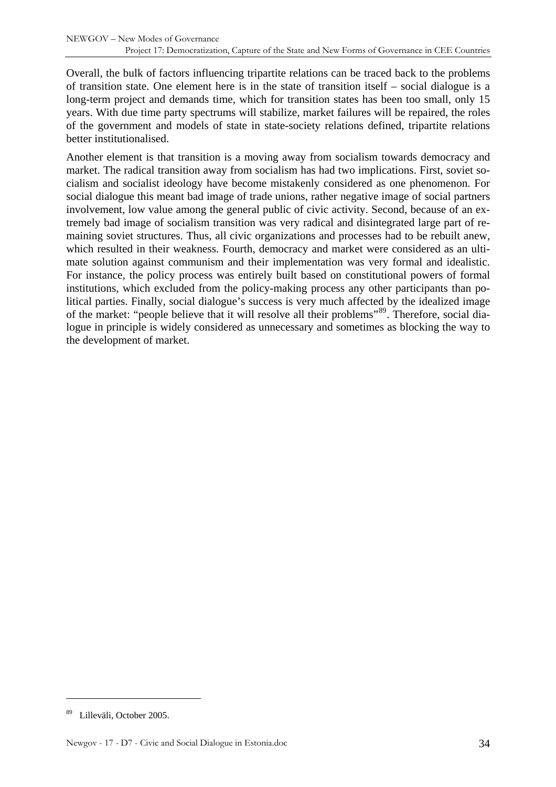Overall, the bulk of factors influencing tripartite relations can be traced back to the problems of transition state. One element here is in the state of transition itself – social dialogue is a long-term project and demands time, which for transition states has been too small, only 15 years. With due time party spectrums will stabilize, market failures will be repaired, the roles of the government and models of state in state-society relations defined, tripartite relations better institutionalised.

Another element is that transition is a moving away from socialism towards democracy and market. The radical transition away from socialism has had two implications. First, soviet socialism and socialist ideology have become mistakenly considered as one phenomenon. For social dialogue this meant bad image of trade unions, rather negative image of social partners involvement, low value among the general public of civic activity. Second, because of an extremely bad image of socialism transition was very radical and disintegrated large part of remaining soviet structures. Thus, all civic organizations and processes had to be rebuilt anew, which resulted in their weakness. Fourth, democracy and market were considered as an ultimate solution against communism and their implementation was very formal and idealistic. For instance, the policy process was entirely built based on constitutional powers of formal institutions, which excluded from the policy-making process any other participants than political parties. Finally, social dialogue's success is very much affected by the idealized image of the market: "people believe that it will resolve all their problems"<sup>[89](#page-33-0)</sup>. Therefore, social dialogue in principle is widely considered as unnecessary and sometimes as blocking the way to the development of market.

<span id="page-33-0"></span><sup>89</sup> Lilleväli, October 2005.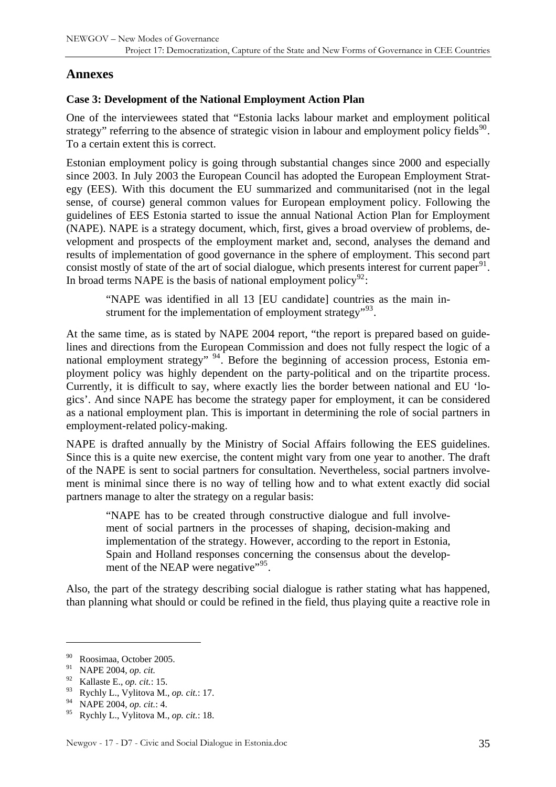## <span id="page-34-0"></span>**Annexes**

#### **Case 3: Development of the National Employment Action Plan**

One of the interviewees stated that "Estonia lacks labour market and employment political strategy" referring to the absence of strategic vision in labour and employment policy fields<sup>[90](#page-34-1)</sup>. To a certain extent this is correct.

Estonian employment policy is going through substantial changes since 2000 and especially since 2003. In July 2003 the European Council has adopted the European Employment Strategy (EES). With this document the EU summarized and communitarised (not in the legal sense, of course) general common values for European employment policy. Following the guidelines of EES Estonia started to issue the annual National Action Plan for Employment (NAPE). NAPE is a strategy document, which, first, gives a broad overview of problems, development and prospects of the employment market and, second, analyses the demand and results of implementation of good governance in the sphere of employment. This second part consist mostly of state of the art of social dialogue, which presents interest for current paper $91$ . In broad terms NAPE is the basis of national employment policy<sup>[92](#page-34-3)</sup>:

"NAPE was identified in all 13 [EU candidate] countries as the main instrument for the implementation of employment strategy<sup> $,93$  $,93$ </sup>.

At the same time, as is stated by NAPE 2004 report, "the report is prepared based on guidelines and directions from the European Commission and does not fully respect the logic of a national employment strategy" <sup>[94](#page-34-5)</sup>. Before the beginning of accession process, Estonia employment policy was highly dependent on the party-political and on the tripartite process. Currently, it is difficult to say, where exactly lies the border between national and EU 'logics'. And since NAPE has become the strategy paper for employment, it can be considered as a national employment plan. This is important in determining the role of social partners in employment-related policy-making.

NAPE is drafted annually by the Ministry of Social Affairs following the EES guidelines. Since this is a quite new exercise, the content might vary from one year to another. The draft of the NAPE is sent to social partners for consultation. Nevertheless, social partners involvement is minimal since there is no way of telling how and to what extent exactly did social partners manage to alter the strategy on a regular basis:

"NAPE has to be created through constructive dialogue and full involvement of social partners in the processes of shaping, decision-making and implementation of the strategy. However, according to the report in Estonia, Spain and Holland responses concerning the consensus about the develop-ment of the NEAP were negative"<sup>[95](#page-34-6)</sup>.

Also, the part of the strategy describing social dialogue is rather stating what has happened, than planning what should or could be refined in the field, thus playing quite a reactive role in

<span id="page-34-1"></span><sup>90</sup> Roosimaa, October 2005.

<span id="page-34-2"></span><sup>91</sup> NAPE 2004, *op. cit.*

<span id="page-34-3"></span><sup>92</sup> Kallaste E., *op. cit.*: 15.

<span id="page-34-4"></span><sup>93</sup> Rychly L., Vylitova M., *op. cit.*: 17.

<span id="page-34-5"></span><sup>94</sup> NAPE 2004, *op. cit.*: 4.

<span id="page-34-6"></span><sup>95</sup> Rychly L., Vylitova M., *op. cit.*: 18.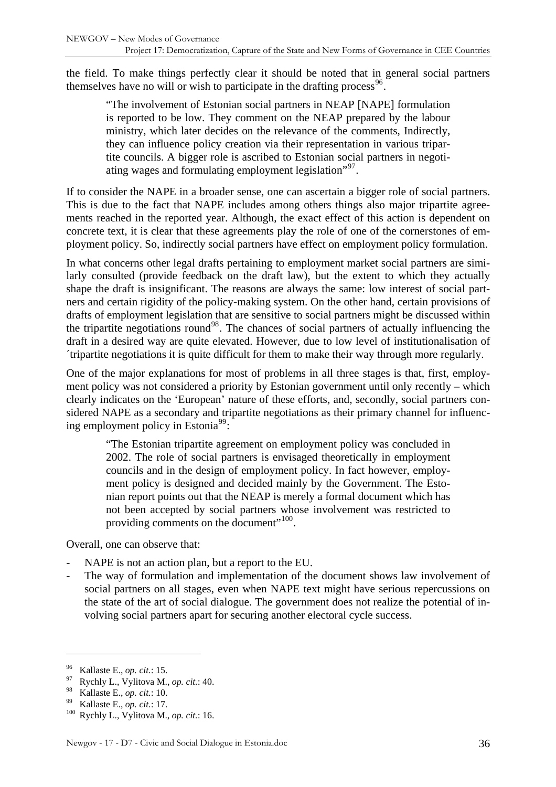the field. To make things perfectly clear it should be noted that in general social partners themselves have no will or wish to participate in the drafting process<sup>[96](#page-35-0)</sup>.

"The involvement of Estonian social partners in NEAP [NAPE] formulation is reported to be low. They comment on the NEAP prepared by the labour ministry, which later decides on the relevance of the comments, Indirectly, they can influence policy creation via their representation in various tripartite councils. A bigger role is ascribed to Estonian social partners in negotiating wages and formulating employment legislation<sup> $297$  $297$ </sup>.

If to consider the NAPE in a broader sense, one can ascertain a bigger role of social partners. This is due to the fact that NAPE includes among others things also major tripartite agreements reached in the reported year. Although, the exact effect of this action is dependent on concrete text, it is clear that these agreements play the role of one of the cornerstones of employment policy. So, indirectly social partners have effect on employment policy formulation.

In what concerns other legal drafts pertaining to employment market social partners are similarly consulted (provide feedback on the draft law), but the extent to which they actually shape the draft is insignificant. The reasons are always the same: low interest of social partners and certain rigidity of the policy-making system. On the other hand, certain provisions of drafts of employment legislation that are sensitive to social partners might be discussed within the tripartite negotiations round<sup>[98](#page-35-2)</sup>. The chances of social partners of actually influencing the draft in a desired way are quite elevated. However, due to low level of institutionalisation of ´tripartite negotiations it is quite difficult for them to make their way through more regularly.

One of the major explanations for most of problems in all three stages is that, first, employment policy was not considered a priority by Estonian government until only recently – which clearly indicates on the 'European' nature of these efforts, and, secondly, social partners considered NAPE as a secondary and tripartite negotiations as their primary channel for influenc-ing employment policy in Estonia<sup>[99](#page-35-3)</sup>:

"The Estonian tripartite agreement on employment policy was concluded in 2002. The role of social partners is envisaged theoretically in employment councils and in the design of employment policy. In fact however, employment policy is designed and decided mainly by the Government. The Estonian report points out that the NEAP is merely a formal document which has not been accepted by social partners whose involvement was restricted to providing comments on the document"<sup>[100](#page-35-4)</sup>.

Overall, one can observe that:

- NAPE is not an action plan, but a report to the EU.
- The way of formulation and implementation of the document shows law involvement of social partners on all stages, even when NAPE text might have serious repercussions on the state of the art of social dialogue. The government does not realize the potential of involving social partners apart for securing another electoral cycle success.

<span id="page-35-1"></span><span id="page-35-0"></span><sup>96</sup> Kallaste E., *op. cit.*: 15. 97 Rychly L., Vylitova M., *op. cit.*: 40.

<span id="page-35-4"></span><span id="page-35-3"></span><span id="page-35-2"></span><sup>&</sup>lt;sup>99</sup> Kallaste E., *op. cit.*: 17.<br><sup>100</sup> Rychly L., Vylitova M., *op. cit.*: 16.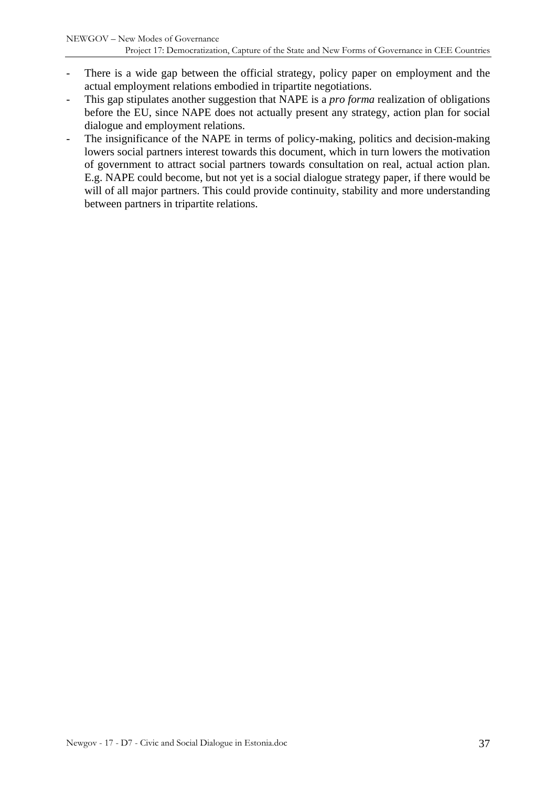- There is a wide gap between the official strategy, policy paper on employment and the actual employment relations embodied in tripartite negotiations.
- This gap stipulates another suggestion that NAPE is a *pro forma* realization of obligations before the EU, since NAPE does not actually present any strategy, action plan for social dialogue and employment relations.
- The insignificance of the NAPE in terms of policy-making, politics and decision-making lowers social partners interest towards this document, which in turn lowers the motivation of government to attract social partners towards consultation on real, actual action plan. E.g. NAPE could become, but not yet is a social dialogue strategy paper, if there would be will of all major partners. This could provide continuity, stability and more understanding between partners in tripartite relations.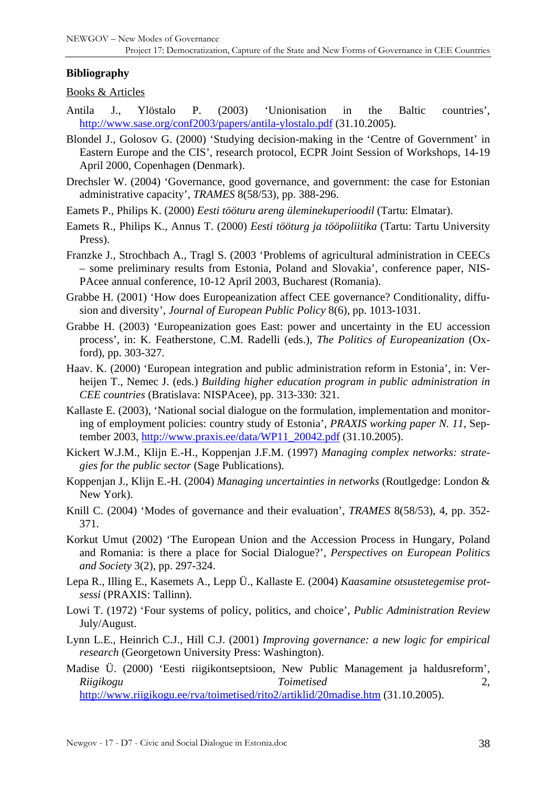#### <span id="page-37-0"></span>**Bibliography**

Books & Articles

- Antila J., Ylöstalo P. (2003) 'Unionisation in the Baltic countries', <http://www.sase.org/conf2003/papers/antila-ylostalo.pdf> (31.10.2005).
- Blondel J., Golosov G. (2000) 'Studying decision-making in the 'Centre of Government' in Eastern Europe and the CIS', research protocol, ECPR Joint Session of Workshops, 14-19 April 2000, Copenhagen (Denmark).
- Drechsler W. (2004) 'Governance, good governance, and government: the case for Estonian administrative capacity', *TRAMES* 8(58/53), pp. 388-296.
- Eamets P., Philips K. (2000) *Eesti tööturu areng üleminekuperioodil* (Tartu: Elmatar).
- Eamets R., Philips K., Annus T. (2000) *Eesti tööturg ja tööpoliitika* (Tartu: Tartu University Press).
- Franzke J., Strochbach A., Tragl S. (2003 'Problems of agricultural administration in CEECs – some preliminary results from Estonia, Poland and Slovakia', conference paper, NIS-PAcee annual conference, 10-12 April 2003, Bucharest (Romania).
- Grabbe H. (2001) 'How does Europeanization affect CEE governance? Conditionality, diffusion and diversity', *Journal of European Public Policy* 8(6), pp. 1013-1031.
- Grabbe H. (2003) 'Europeanization goes East: power and uncertainty in the EU accession process', in: K. Featherstone, C.M. Radelli (eds.), *The Politics of Europeanization* (Oxford), pp. 303-327.
- Haav. K. (2000) 'European integration and public administration reform in Estonia', in: Verheijen T., Nemec J. (eds.) *Building higher education program in public administration in CEE countries* (Bratislava: NISPAcee), pp. 313-330: 321.
- Kallaste E. (2003), 'National social dialogue on the formulation, implementation and monitoring of employment policies: country study of Estonia', *PRAXIS working paper N. 11*, September 2003, [http://www.praxis.ee/data/WP11\\_20042.pdf](http://www.praxis.ee/data/WP11_20042.pdf) (31.10.2005).
- Kickert W.J.M., Klijn E.-H., Koppenjan J.F.M. (1997) *Managing complex networks: strategies for the public sector* (Sage Publications).
- Koppenjan J., Klijn E.-H. (2004) *Managing uncertainties in networks* (Routlgedge: London & New York).
- Knill C. (2004) 'Modes of governance and their evaluation', *TRAMES* 8(58/53), 4, pp. 352- 371.
- Korkut Umut (2002) 'The European Union and the Accession Process in Hungary, Poland and Romania: is there a place for Social Dialogue?', *Perspectives on European Politics and Society* 3(2), pp. 297-324.
- Lepa R., Illing E., Kasemets A., Lepp Ü., Kallaste E. (2004) *Kaasamine otsustetegemise protsessi* (PRAXIS: Tallinn).
- Lowi T. (1972) 'Four systems of policy, politics, and choice', *Public Administration Review* July/August.
- Lynn L.E., Heinrich C.J., Hill C.J. (2001) *Improving governance: a new logic for empirical research* (Georgetown University Press: Washington).
- Madise Ü. (2000) 'Eesti riigikontseptsioon, New Public Management ja haldusreform', *Riigikogu Toimetised* 2, <http://www.riigikogu.ee/rva/toimetised/rito2/artiklid/20madise.htm> (31.10.2005).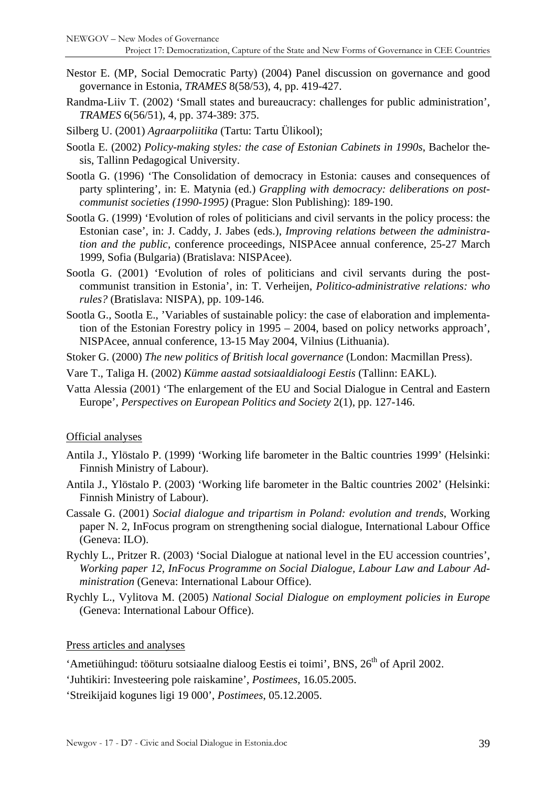- Nestor E. (MP, Social Democratic Party) (2004) Panel discussion on governance and good governance in Estonia, *TRAMES* 8(58/53), 4, pp. 419-427.
- Randma-Liiv T. (2002) 'Small states and bureaucracy: challenges for public administration', *TRAMES* 6(56/51), 4, pp. 374-389: 375.
- Silberg U. (2001) *Agraarpoliitika* (Tartu: Tartu Ülikool);
- Sootla E. (2002) *Policy-making styles: the case of Estonian Cabinets in 1990s*, Bachelor thesis, Tallinn Pedagogical University.
- Sootla G. (1996) 'The Consolidation of democracy in Estonia: causes and consequences of party splintering', in: E. Matynia (ed.) *Grappling with democracy: deliberations on postcommunist societies (1990-1995)* (Prague: Slon Publishing): 189-190.
- Sootla G. (1999) 'Evolution of roles of politicians and civil servants in the policy process: the Estonian case', in: J. Caddy, J. Jabes (eds.), *Improving relations between the administration and the public*, conference proceedings, NISPAcee annual conference, 25-27 March 1999, Sofia (Bulgaria) (Bratislava: NISPAcee).
- Sootla G. (2001) 'Evolution of roles of politicians and civil servants during the postcommunist transition in Estonia', in: T. Verheijen, *Politico-administrative relations: who rules?* (Bratislava: NISPA), pp. 109-146.
- Sootla G., Sootla E., 'Variables of sustainable policy: the case of elaboration and implementation of the Estonian Forestry policy in 1995 – 2004, based on policy networks approach', NISPAcee, annual conference, 13-15 May 2004, Vilnius (Lithuania).
- Stoker G. (2000) *The new politics of British local governance* (London: Macmillan Press).
- Vare T., Taliga H. (2002) *Kümme aastad sotsiaaldialoogi Eestis* (Tallinn: EAKL).
- Vatta Alessia (2001) 'The enlargement of the EU and Social Dialogue in Central and Eastern Europe', *Perspectives on European Politics and Society* 2(1), pp. 127-146.

#### Official analyses

- Antila J., Ylöstalo P. (1999) 'Working life barometer in the Baltic countries 1999' (Helsinki: Finnish Ministry of Labour).
- Antila J., Ylöstalo P. (2003) 'Working life barometer in the Baltic countries 2002' (Helsinki: Finnish Ministry of Labour).
- Cassale G. (2001) *Social dialogue and tripartism in Poland: evolution and trends*, Working paper N. 2, InFocus program on strengthening social dialogue, International Labour Office (Geneva: ILO).
- Rychly L., Pritzer R. (2003) 'Social Dialogue at national level in the EU accession countries', *Working paper 12, InFocus Programme on Social Dialogue, Labour Law and Labour Administration* (Geneva: International Labour Office).
- Rychly L., Vylitova M. (2005) *National Social Dialogue on employment policies in Europe* (Geneva: International Labour Office).

Press articles and analyses

- 'Ametiühingud: tööturu sotsiaalne dialoog Eestis ei toimi', BNS, 26<sup>th</sup> of April 2002.
- 'Juhtikiri: Investeering pole raiskamine', *Postimees*, 16.05.2005.

'Streikijaid kogunes ligi 19 000', *Postimees*, 05.12.2005.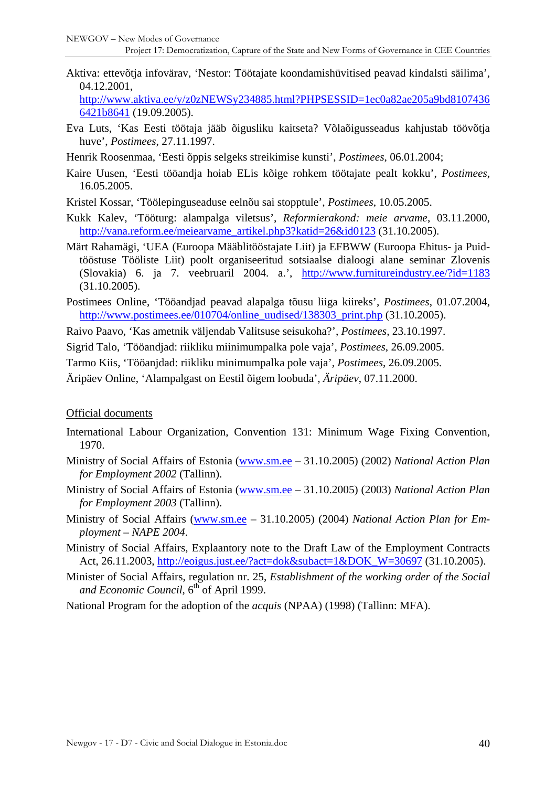Aktiva: ettevõtja infovärav, 'Nestor: Töötajate koondamishüvitised peavad kindalsti säilima', 04.12.2001,

[http://www.aktiva.ee/y/z0zNEWSy234885.html?PHPSESSID=1ec0a82ae205a9bd8107436](http://www.aktiva.ee/y/z0zNEWSy234885.html?PHPSESSID=1ec0a82ae205a9bd81074366421b8641) [6421b8641](http://www.aktiva.ee/y/z0zNEWSy234885.html?PHPSESSID=1ec0a82ae205a9bd81074366421b8641) (19.09.2005).

- Eva Luts, 'Kas Eesti töötaja jääb õigusliku kaitseta? Võlaõigusseadus kahjustab töövõtja huve', *Postimees*, 27.11.1997.
- Henrik Roosenmaa, 'Eesti õppis selgeks streikimise kunsti', *Postimees*, 06.01.2004;
- Kaire Uusen, 'Eesti tööandja hoiab ELis kõige rohkem töötajate pealt kokku', *Postimees*, 16.05.2005.
- Kristel Kossar, 'Töölepinguseaduse eelnõu sai stopptule', *Postimees*, 10.05.2005.
- Kukk Kalev, 'Tööturg: alampalga viletsus', *Reformierakond: meie arvame*, 03.11.2000, [http://vana.reform.ee/meiearvame\\_artikel.php3?katid=26&id0123](http://vana.reform.ee/meiearvame_artikel.php3?katid=26&id0123) (31.10.2005).
- Märt Rahamägi, 'UEA (Euroopa Määblitööstajate Liit) ja EFBWW (Euroopa Ehitus- ja Puidtööstuse Tööliste Liit) poolt organiseeritud sotsiaalse dialoogi alane seminar Zlovenis (Slovakia) 6. ja 7. veebruaril 2004. a.', <http://www.furnitureindustry.ee/?id=1183> (31.10.2005).
- Postimees Online, 'Tööandjad peavad alapalga tõusu liiga kiireks', *Postimees*, 01.07.2004, [http://www.postimees.ee/010704/online\\_uudised/138303\\_print.php](http://www.postimees.ee/010704/online_uudised/138303_print.php) (31.10.2005).

Raivo Paavo, 'Kas ametnik väljendab Valitsuse seisukoha?', *Postimees*, 23.10.1997.

Sigrid Talo, 'Tööandjad: riikliku miinimumpalka pole vaja', *Postimees*, 26.09.2005.

Tarmo Kiis, 'Tööanjdad: riikliku minimumpalka pole vaja', *Postimees*, 26.09.2005.

Äripäev Online, 'Alampalgast on Eestil õigem loobuda', *Äripäev*, 07.11.2000.

#### Official documents

- International Labour Organization, Convention 131: Minimum Wage Fixing Convention, 1970.
- Ministry of Social Affairs of Estonia ([www.sm.ee](http://www.sm.ee/)  31.10.2005) (2002) *National Action Plan for Employment 2002* (Tallinn).
- Ministry of Social Affairs of Estonia ([www.sm.ee](http://www.sm.ee/)  31.10.2005) (2003) *National Action Plan for Employment 2003* (Tallinn).
- Ministry of Social Affairs [\(www.sm.ee](http://www.sm.ee/) 31.10.2005) (2004) *National Action Plan for Employment – NAPE 2004*.
- Ministry of Social Affairs, Explaantory note to the Draft Law of the Employment Contracts Act, 26.11.2003, [http://eoigus.just.ee/?act=dok&subact=1&DOK\\_W=30697](http://eoigus.just.ee/?act=dok&subact=1&DOK_W=30697) (31.10.2005).
- Minister of Social Affairs, regulation nr. 25, *Establishment of the working order of the Social*  and Economic Council, 6<sup>th</sup> of April 1999.

National Program for the adoption of the *acquis* (NPAA) (1998) (Tallinn: MFA).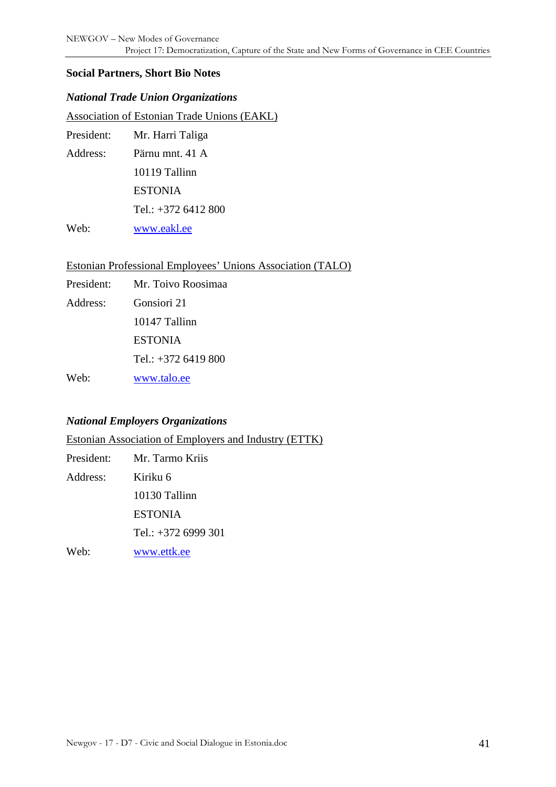#### <span id="page-40-0"></span>**Social Partners, Short Bio Notes**

#### *National Trade Union Organizations*

Association of Estonian Trade Unions (EAKL)

| President: | Mr. Harri Taliga    |
|------------|---------------------|
| Address:   | Pärnu mnt. 41 A     |
|            | 10119 Tallinn       |
|            | <b>ESTONIA</b>      |
|            | Tel.: $+3726412800$ |
| Web:       | www.eakl.ee         |

Estonian Professional Employees' Unions Association (TALO)

| President: | Mr. Toivo Roosimaa  |  |  |
|------------|---------------------|--|--|
| Address:   | Gonsiori 21         |  |  |
|            | 10147 Tallinn       |  |  |
|            | <b>ESTONIA</b>      |  |  |
|            | Tel.: $+3726419800$ |  |  |
| Web:       | www.talo.ee         |  |  |

#### *National Employers Organizations*

Estonian Association of Employers and Industry (ETTK)

| President: | Mr. Tarmo Kriis       |
|------------|-----------------------|
| Address:   | Kiriku 6              |
|            | 10130 Tallinn         |
|            | <b>ESTONIA</b>        |
|            | Tel.: $+372$ 6999 301 |
| Web:       | www.ettk.ee           |